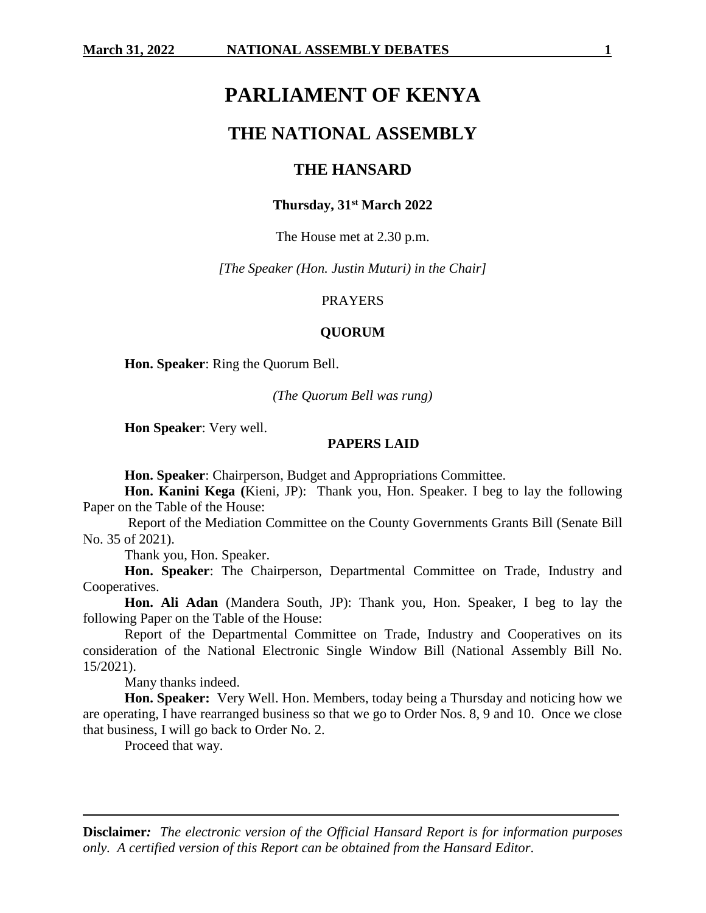# **PARLIAMENT OF KENYA**

# **THE NATIONAL ASSEMBLY**

### **THE HANSARD**

### **Thursday, 31st March 2022**

The House met at 2.30 p.m.

*[The Speaker (Hon. Justin Muturi) in the Chair]*

#### PRAYERS

#### **QUORUM**

**Hon. Speaker**: Ring the Quorum Bell.

*(The Quorum Bell was rung)*

**Hon Speaker**: Very well.

#### **PAPERS LAID**

**Hon. Speaker**: Chairperson, Budget and Appropriations Committee.

**Hon. Kanini Kega (**Kieni, JP): Thank you, Hon. Speaker. I beg to lay the following Paper on the Table of the House:

Report of the Mediation Committee on the County Governments Grants Bill (Senate Bill No. 35 of 2021).

Thank you, Hon. Speaker.

**Hon. Speaker**: The Chairperson, Departmental Committee on Trade, Industry and Cooperatives.

**Hon. Ali Adan** (Mandera South, JP): Thank you, Hon. Speaker, I beg to lay the following Paper on the Table of the House:

Report of the Departmental Committee on Trade, Industry and Cooperatives on its consideration of the National Electronic Single Window Bill (National Assembly Bill No. 15/2021).

Many thanks indeed.

**Hon. Speaker:** Very Well. Hon. Members, today being a Thursday and noticing how we are operating, I have rearranged business so that we go to Order Nos. 8, 9 and 10. Once we close that business, I will go back to Order No. 2.

Proceed that way.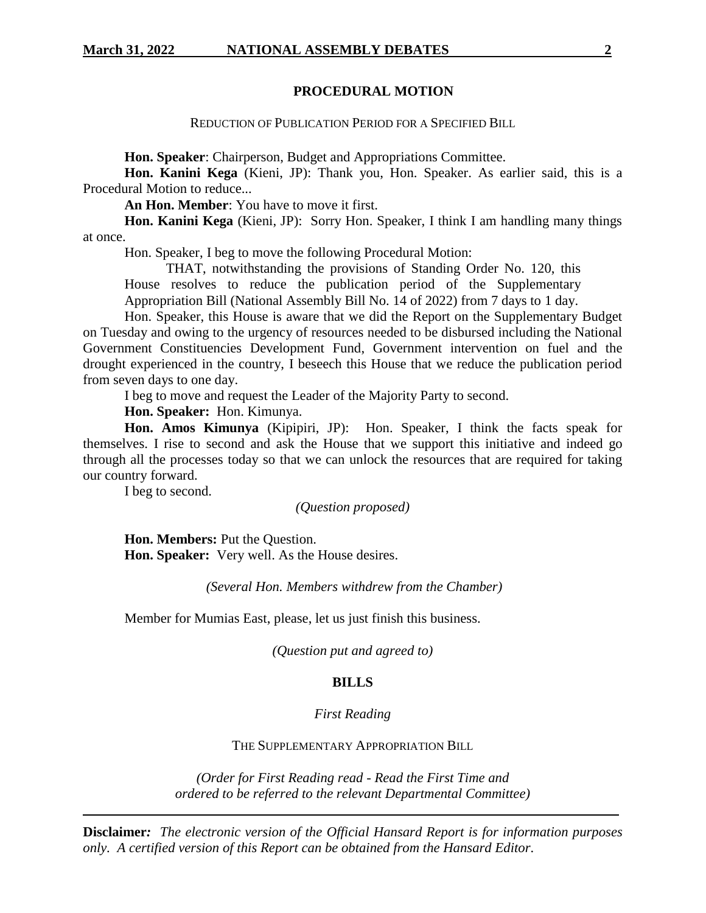### **PROCEDURAL MOTION**

REDUCTION OF PUBLICATION PERIOD FOR A SPECIFIED BILL

**Hon. Speaker**: Chairperson, Budget and Appropriations Committee.

**Hon. Kanini Kega** (Kieni, JP): Thank you, Hon. Speaker. As earlier said, this is a Procedural Motion to reduce...

**An Hon. Member**: You have to move it first.

**Hon. Kanini Kega** (Kieni, JP): Sorry Hon. Speaker, I think I am handling many things at once.

Hon. Speaker, I beg to move the following Procedural Motion:

THAT, notwithstanding the provisions of Standing Order No. 120, this House resolves to reduce the publication period of the Supplementary

Appropriation Bill (National Assembly Bill No. 14 of 2022) from 7 days to 1 day.

Hon. Speaker, this House is aware that we did the Report on the Supplementary Budget on Tuesday and owing to the urgency of resources needed to be disbursed including the National Government Constituencies Development Fund, Government intervention on fuel and the drought experienced in the country, I beseech this House that we reduce the publication period from seven days to one day.

I beg to move and request the Leader of the Majority Party to second.

**Hon. Speaker:** Hon. Kimunya.

**Hon. Amos Kimunya** (Kipipiri, JP): Hon. Speaker, I think the facts speak for themselves. I rise to second and ask the House that we support this initiative and indeed go through all the processes today so that we can unlock the resources that are required for taking our country forward.

I beg to second.

*(Question proposed)*

**Hon. Members:** Put the Question. **Hon. Speaker:** Very well. As the House desires.

*(Several Hon. Members withdrew from the Chamber)*

Member for Mumias East, please, let us just finish this business.

*(Question put and agreed to)*

#### **BILLS**

#### *First Reading*

#### THE SUPPLEMENTARY APPROPRIATION BILL

*(Order for First Reading read - Read the First Time and ordered to be referred to the relevant Departmental Committee)*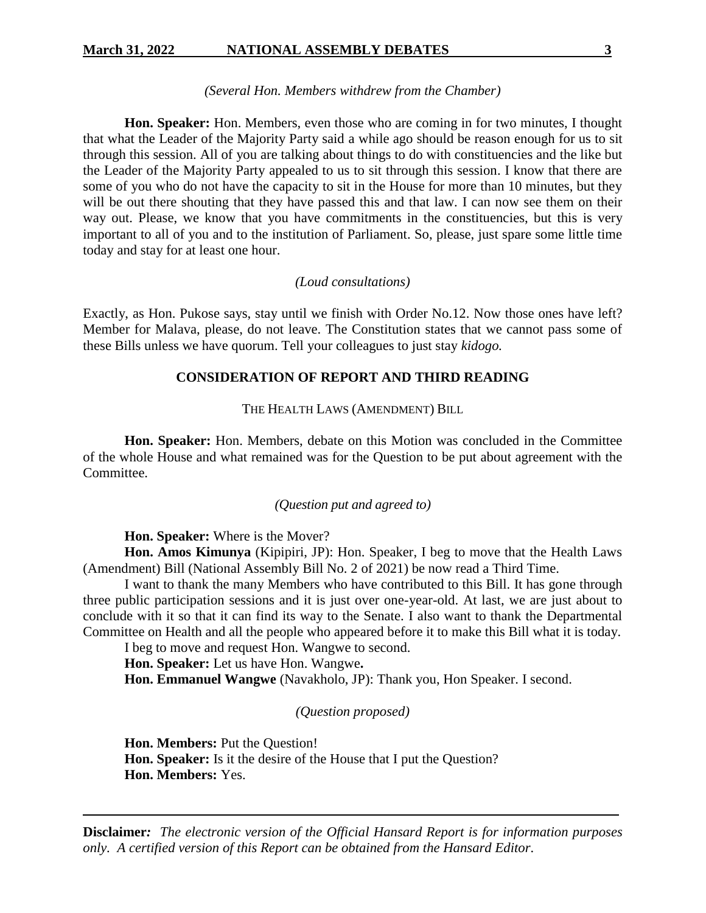#### *(Several Hon. Members withdrew from the Chamber)*

**Hon. Speaker:** Hon. Members, even those who are coming in for two minutes, I thought that what the Leader of the Majority Party said a while ago should be reason enough for us to sit through this session. All of you are talking about things to do with constituencies and the like but the Leader of the Majority Party appealed to us to sit through this session. I know that there are some of you who do not have the capacity to sit in the House for more than 10 minutes, but they will be out there shouting that they have passed this and that law. I can now see them on their way out. Please, we know that you have commitments in the constituencies, but this is very important to all of you and to the institution of Parliament. So, please, just spare some little time today and stay for at least one hour.

### *(Loud consultations)*

Exactly, as Hon. Pukose says, stay until we finish with Order No.12. Now those ones have left? Member for Malava, please, do not leave. The Constitution states that we cannot pass some of these Bills unless we have quorum. Tell your colleagues to just stay *kidogo.* 

### **CONSIDERATION OF REPORT AND THIRD READING**

THE HEALTH LAWS (AMENDMENT) BILL

**Hon. Speaker:** Hon. Members, debate on this Motion was concluded in the Committee of the whole House and what remained was for the Question to be put about agreement with the **Committee** 

#### *(Question put and agreed to)*

**Hon. Speaker:** Where is the Mover?

**Hon. Amos Kimunya** (Kipipiri, JP): Hon. Speaker, I beg to move that the Health Laws (Amendment) Bill (National Assembly Bill No. 2 of 2021) be now read a Third Time.

I want to thank the many Members who have contributed to this Bill. It has gone through three public participation sessions and it is just over one-year-old. At last, we are just about to conclude with it so that it can find its way to the Senate. I also want to thank the Departmental Committee on Health and all the people who appeared before it to make this Bill what it is today.

I beg to move and request Hon. Wangwe to second.

**Hon. Speaker:** Let us have Hon. Wangwe**.**

**Hon. Emmanuel Wangwe** (Navakholo, JP): Thank you, Hon Speaker. I second.

*(Question proposed)*

**Hon. Members:** Put the Question! **Hon. Speaker:** Is it the desire of the House that I put the Question? **Hon. Members:** Yes.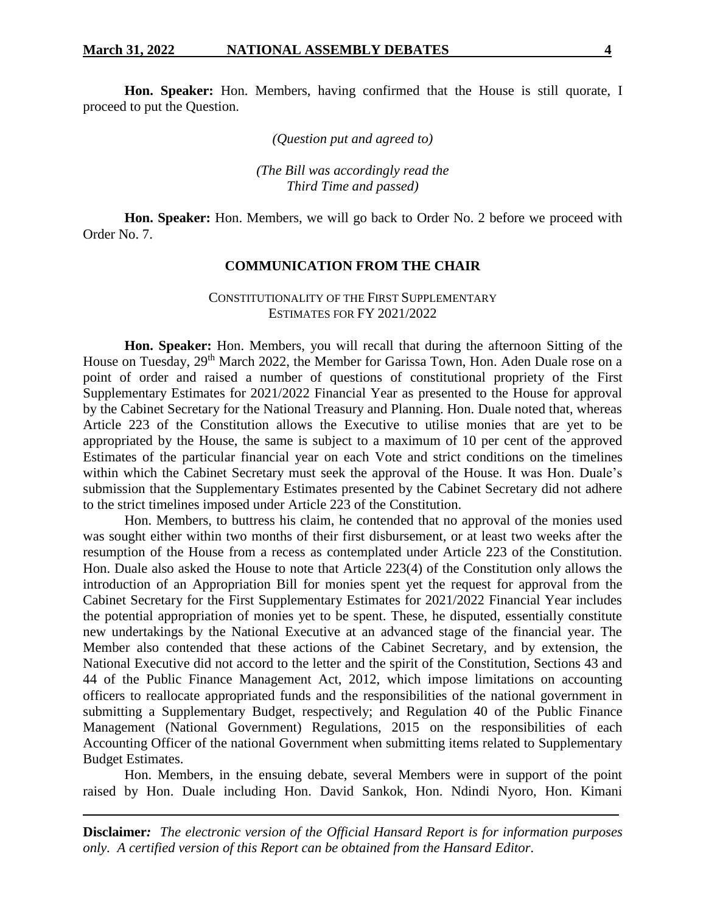**Hon. Speaker:** Hon. Members, having confirmed that the House is still quorate, I proceed to put the Question.

*(Question put and agreed to)*

*(The Bill was accordingly read the Third Time and passed)*

**Hon. Speaker:** Hon. Members, we will go back to Order No. 2 before we proceed with Order No. 7.

### **COMMUNICATION FROM THE CHAIR**

### CONSTITUTIONALITY OF THE FIRST SUPPLEMENTARY ESTIMATES FOR FY 2021/2022

**Hon. Speaker:** Hon. Members, you will recall that during the afternoon Sitting of the House on Tuesday, 29<sup>th</sup> March 2022, the Member for Garissa Town, Hon. Aden Duale rose on a point of order and raised a number of questions of constitutional propriety of the First Supplementary Estimates for 2021/2022 Financial Year as presented to the House for approval by the Cabinet Secretary for the National Treasury and Planning. Hon. Duale noted that, whereas Article 223 of the Constitution allows the Executive to utilise monies that are yet to be appropriated by the House, the same is subject to a maximum of 10 per cent of the approved Estimates of the particular financial year on each Vote and strict conditions on the timelines within which the Cabinet Secretary must seek the approval of the House. It was Hon. Duale's submission that the Supplementary Estimates presented by the Cabinet Secretary did not adhere to the strict timelines imposed under Article 223 of the Constitution.

Hon. Members, to buttress his claim, he contended that no approval of the monies used was sought either within two months of their first disbursement, or at least two weeks after the resumption of the House from a recess as contemplated under Article 223 of the Constitution. Hon. Duale also asked the House to note that Article 223(4) of the Constitution only allows the introduction of an Appropriation Bill for monies spent yet the request for approval from the Cabinet Secretary for the First Supplementary Estimates for 2021/2022 Financial Year includes the potential appropriation of monies yet to be spent. These, he disputed, essentially constitute new undertakings by the National Executive at an advanced stage of the financial year. The Member also contended that these actions of the Cabinet Secretary, and by extension, the National Executive did not accord to the letter and the spirit of the Constitution, Sections 43 and 44 of the Public Finance Management Act, 2012, which impose limitations on accounting officers to reallocate appropriated funds and the responsibilities of the national government in submitting a Supplementary Budget, respectively; and Regulation 40 of the Public Finance Management (National Government) Regulations, 2015 on the responsibilities of each Accounting Officer of the national Government when submitting items related to Supplementary Budget Estimates.

Hon. Members, in the ensuing debate, several Members were in support of the point raised by Hon. Duale including Hon. David Sankok, Hon. Ndindi Nyoro, Hon. Kimani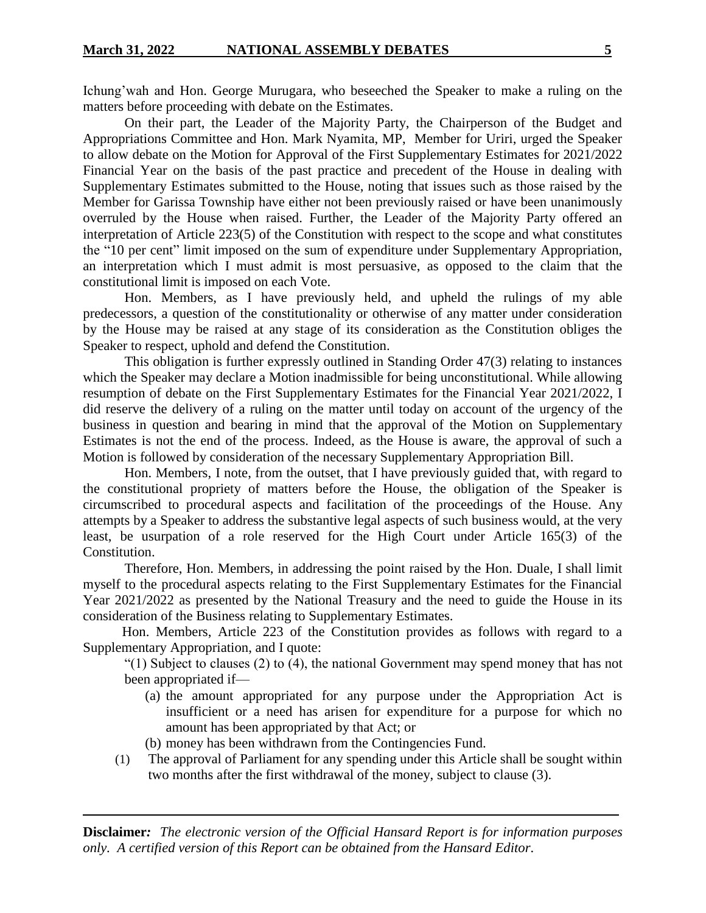Ichung'wah and Hon. George Murugara, who beseeched the Speaker to make a ruling on the matters before proceeding with debate on the Estimates.

On their part, the Leader of the Majority Party, the Chairperson of the Budget and Appropriations Committee and Hon. Mark Nyamita, MP, Member for Uriri, urged the Speaker to allow debate on the Motion for Approval of the First Supplementary Estimates for 2021/2022 Financial Year on the basis of the past practice and precedent of the House in dealing with Supplementary Estimates submitted to the House, noting that issues such as those raised by the Member for Garissa Township have either not been previously raised or have been unanimously overruled by the House when raised. Further, the Leader of the Majority Party offered an interpretation of Article 223(5) of the Constitution with respect to the scope and what constitutes the "10 per cent" limit imposed on the sum of expenditure under Supplementary Appropriation, an interpretation which I must admit is most persuasive, as opposed to the claim that the constitutional limit is imposed on each Vote.

Hon. Members, as I have previously held, and upheld the rulings of my able predecessors, a question of the constitutionality or otherwise of any matter under consideration by the House may be raised at any stage of its consideration as the Constitution obliges the Speaker to respect, uphold and defend the Constitution.

This obligation is further expressly outlined in Standing Order 47(3) relating to instances which the Speaker may declare a Motion inadmissible for being unconstitutional. While allowing resumption of debate on the First Supplementary Estimates for the Financial Year 2021/2022, I did reserve the delivery of a ruling on the matter until today on account of the urgency of the business in question and bearing in mind that the approval of the Motion on Supplementary Estimates is not the end of the process. Indeed, as the House is aware, the approval of such a Motion is followed by consideration of the necessary Supplementary Appropriation Bill.

Hon. Members, I note, from the outset, that I have previously guided that, with regard to the constitutional propriety of matters before the House, the obligation of the Speaker is circumscribed to procedural aspects and facilitation of the proceedings of the House. Any attempts by a Speaker to address the substantive legal aspects of such business would, at the very least, be usurpation of a role reserved for the High Court under Article 165(3) of the Constitution.

Therefore, Hon. Members, in addressing the point raised by the Hon. Duale, I shall limit myself to the procedural aspects relating to the First Supplementary Estimates for the Financial Year 2021/2022 as presented by the National Treasury and the need to guide the House in its consideration of the Business relating to Supplementary Estimates.

Hon. Members, Article 223 of the Constitution provides as follows with regard to a Supplementary Appropriation, and I quote:

"(1) Subject to clauses (2) to (4), the national Government may spend money that has not been appropriated if—

- (a) the amount appropriated for any purpose under the Appropriation Act is insufficient or a need has arisen for expenditure for a purpose for which no amount has been appropriated by that Act; or
- (b) money has been withdrawn from the Contingencies Fund.
- (1) The approval of Parliament for any spending under this Article shall be sought within two months after the first withdrawal of the money, subject to clause (3).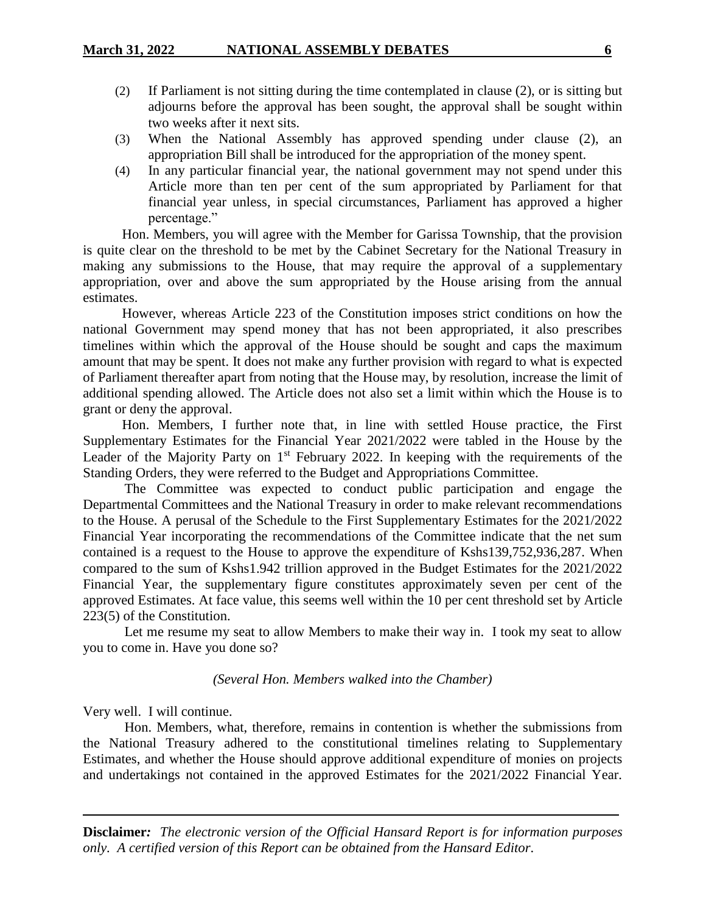- (2) If Parliament is not sitting during the time contemplated in clause (2), or is sitting but adjourns before the approval has been sought, the approval shall be sought within two weeks after it next sits.
- (3) When the National Assembly has approved spending under clause (2), an appropriation Bill shall be introduced for the appropriation of the money spent.
- (4) In any particular financial year, the national government may not spend under this Article more than ten per cent of the sum appropriated by Parliament for that financial year unless, in special circumstances, Parliament has approved a higher percentage."

Hon. Members, you will agree with the Member for Garissa Township, that the provision is quite clear on the threshold to be met by the Cabinet Secretary for the National Treasury in making any submissions to the House, that may require the approval of a supplementary appropriation, over and above the sum appropriated by the House arising from the annual estimates.

However, whereas Article 223 of the Constitution imposes strict conditions on how the national Government may spend money that has not been appropriated, it also prescribes timelines within which the approval of the House should be sought and caps the maximum amount that may be spent. It does not make any further provision with regard to what is expected of Parliament thereafter apart from noting that the House may, by resolution, increase the limit of additional spending allowed. The Article does not also set a limit within which the House is to grant or deny the approval.

Hon. Members, I further note that, in line with settled House practice, the First Supplementary Estimates for the Financial Year 2021/2022 were tabled in the House by the Leader of the Majority Party on 1<sup>st</sup> February 2022. In keeping with the requirements of the Standing Orders, they were referred to the Budget and Appropriations Committee.

The Committee was expected to conduct public participation and engage the Departmental Committees and the National Treasury in order to make relevant recommendations to the House. A perusal of the Schedule to the First Supplementary Estimates for the 2021/2022 Financial Year incorporating the recommendations of the Committee indicate that the net sum contained is a request to the House to approve the expenditure of Kshs139,752,936,287. When compared to the sum of Kshs1.942 trillion approved in the Budget Estimates for the 2021/2022 Financial Year, the supplementary figure constitutes approximately seven per cent of the approved Estimates. At face value, this seems well within the 10 per cent threshold set by Article 223(5) of the Constitution.

Let me resume my seat to allow Members to make their way in. I took my seat to allow you to come in. Have you done so?

#### *(Several Hon. Members walked into the Chamber)*

Very well. I will continue.

Hon. Members, what, therefore, remains in contention is whether the submissions from the National Treasury adhered to the constitutional timelines relating to Supplementary Estimates, and whether the House should approve additional expenditure of monies on projects and undertakings not contained in the approved Estimates for the 2021/2022 Financial Year.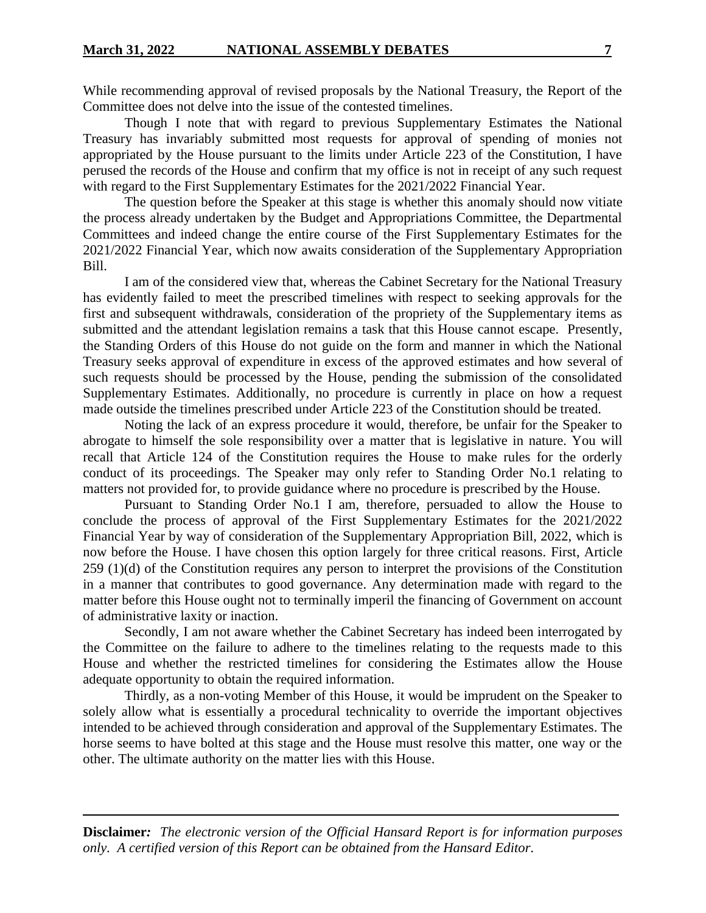While recommending approval of revised proposals by the National Treasury, the Report of the Committee does not delve into the issue of the contested timelines.

Though I note that with regard to previous Supplementary Estimates the National Treasury has invariably submitted most requests for approval of spending of monies not appropriated by the House pursuant to the limits under Article 223 of the Constitution, I have perused the records of the House and confirm that my office is not in receipt of any such request with regard to the First Supplementary Estimates for the 2021/2022 Financial Year.

The question before the Speaker at this stage is whether this anomaly should now vitiate the process already undertaken by the Budget and Appropriations Committee, the Departmental Committees and indeed change the entire course of the First Supplementary Estimates for the 2021/2022 Financial Year, which now awaits consideration of the Supplementary Appropriation Bill.

I am of the considered view that, whereas the Cabinet Secretary for the National Treasury has evidently failed to meet the prescribed timelines with respect to seeking approvals for the first and subsequent withdrawals, consideration of the propriety of the Supplementary items as submitted and the attendant legislation remains a task that this House cannot escape. Presently, the Standing Orders of this House do not guide on the form and manner in which the National Treasury seeks approval of expenditure in excess of the approved estimates and how several of such requests should be processed by the House, pending the submission of the consolidated Supplementary Estimates. Additionally, no procedure is currently in place on how a request made outside the timelines prescribed under Article 223 of the Constitution should be treated.

Noting the lack of an express procedure it would, therefore, be unfair for the Speaker to abrogate to himself the sole responsibility over a matter that is legislative in nature. You will recall that Article 124 of the Constitution requires the House to make rules for the orderly conduct of its proceedings. The Speaker may only refer to Standing Order No.1 relating to matters not provided for, to provide guidance where no procedure is prescribed by the House.

Pursuant to Standing Order No.1 I am, therefore, persuaded to allow the House to conclude the process of approval of the First Supplementary Estimates for the 2021/2022 Financial Year by way of consideration of the Supplementary Appropriation Bill, 2022, which is now before the House. I have chosen this option largely for three critical reasons. First, Article 259 (1)(d) of the Constitution requires any person to interpret the provisions of the Constitution in a manner that contributes to good governance. Any determination made with regard to the matter before this House ought not to terminally imperil the financing of Government on account of administrative laxity or inaction.

Secondly, I am not aware whether the Cabinet Secretary has indeed been interrogated by the Committee on the failure to adhere to the timelines relating to the requests made to this House and whether the restricted timelines for considering the Estimates allow the House adequate opportunity to obtain the required information.

Thirdly, as a non-voting Member of this House, it would be imprudent on the Speaker to solely allow what is essentially a procedural technicality to override the important objectives intended to be achieved through consideration and approval of the Supplementary Estimates. The horse seems to have bolted at this stage and the House must resolve this matter, one way or the other. The ultimate authority on the matter lies with this House.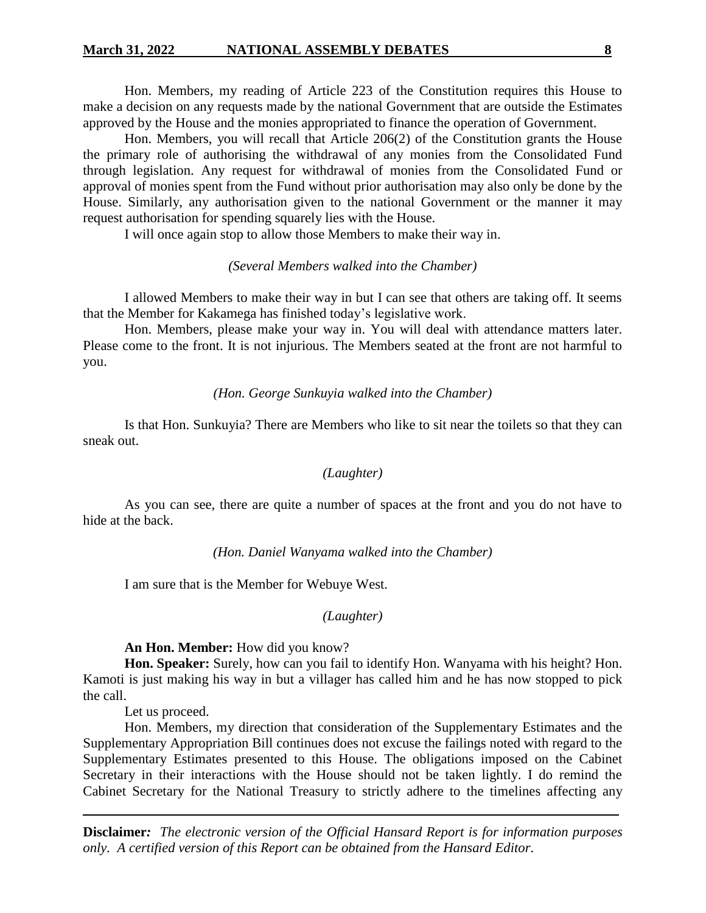Hon. Members, my reading of Article 223 of the Constitution requires this House to make a decision on any requests made by the national Government that are outside the Estimates approved by the House and the monies appropriated to finance the operation of Government.

Hon. Members, you will recall that Article 206(2) of the Constitution grants the House the primary role of authorising the withdrawal of any monies from the Consolidated Fund through legislation. Any request for withdrawal of monies from the Consolidated Fund or approval of monies spent from the Fund without prior authorisation may also only be done by the House. Similarly, any authorisation given to the national Government or the manner it may request authorisation for spending squarely lies with the House.

I will once again stop to allow those Members to make their way in.

### *(Several Members walked into the Chamber)*

I allowed Members to make their way in but I can see that others are taking off. It seems that the Member for Kakamega has finished today's legislative work.

Hon. Members, please make your way in. You will deal with attendance matters later. Please come to the front. It is not injurious. The Members seated at the front are not harmful to you.

#### *(Hon. George Sunkuyia walked into the Chamber)*

Is that Hon. Sunkuyia? There are Members who like to sit near the toilets so that they can sneak out.

#### *(Laughter)*

As you can see, there are quite a number of spaces at the front and you do not have to hide at the back.

*(Hon. Daniel Wanyama walked into the Chamber)*

I am sure that is the Member for Webuye West.

### *(Laughter)*

#### **An Hon. Member:** How did you know?

**Hon. Speaker:** Surely, how can you fail to identify Hon. Wanyama with his height? Hon. Kamoti is just making his way in but a villager has called him and he has now stopped to pick the call.

Let us proceed.

Hon. Members, my direction that consideration of the Supplementary Estimates and the Supplementary Appropriation Bill continues does not excuse the failings noted with regard to the Supplementary Estimates presented to this House. The obligations imposed on the Cabinet Secretary in their interactions with the House should not be taken lightly. I do remind the Cabinet Secretary for the National Treasury to strictly adhere to the timelines affecting any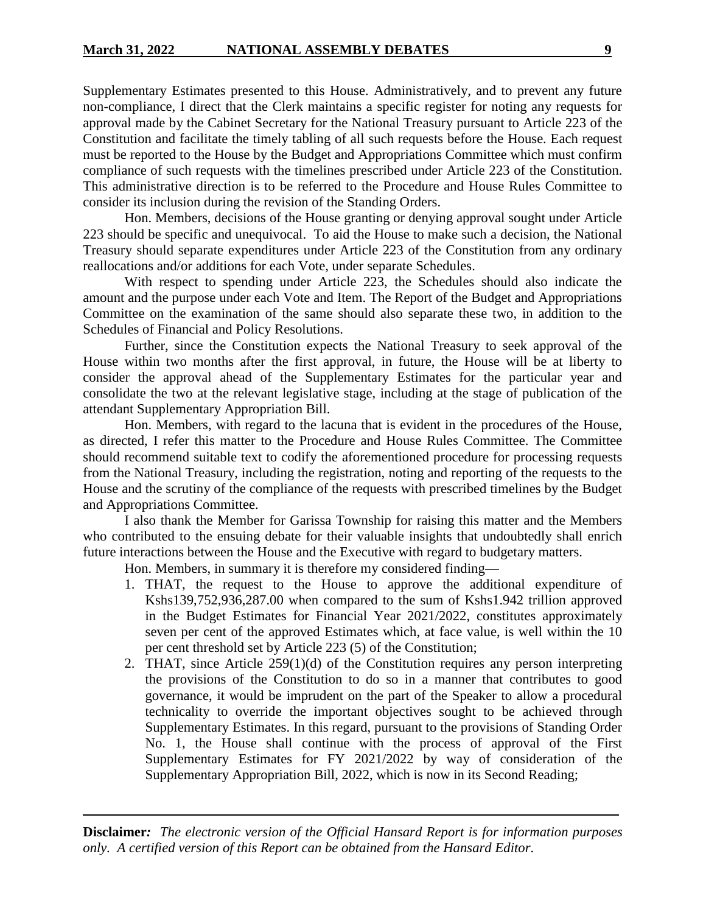Supplementary Estimates presented to this House. Administratively, and to prevent any future non-compliance, I direct that the Clerk maintains a specific register for noting any requests for approval made by the Cabinet Secretary for the National Treasury pursuant to Article 223 of the Constitution and facilitate the timely tabling of all such requests before the House. Each request must be reported to the House by the Budget and Appropriations Committee which must confirm compliance of such requests with the timelines prescribed under Article 223 of the Constitution. This administrative direction is to be referred to the Procedure and House Rules Committee to consider its inclusion during the revision of the Standing Orders.

Hon. Members, decisions of the House granting or denying approval sought under Article 223 should be specific and unequivocal. To aid the House to make such a decision, the National Treasury should separate expenditures under Article 223 of the Constitution from any ordinary reallocations and/or additions for each Vote, under separate Schedules.

With respect to spending under Article 223, the Schedules should also indicate the amount and the purpose under each Vote and Item. The Report of the Budget and Appropriations Committee on the examination of the same should also separate these two, in addition to the Schedules of Financial and Policy Resolutions.

Further, since the Constitution expects the National Treasury to seek approval of the House within two months after the first approval, in future, the House will be at liberty to consider the approval ahead of the Supplementary Estimates for the particular year and consolidate the two at the relevant legislative stage, including at the stage of publication of the attendant Supplementary Appropriation Bill.

Hon. Members, with regard to the lacuna that is evident in the procedures of the House, as directed, I refer this matter to the Procedure and House Rules Committee. The Committee should recommend suitable text to codify the aforementioned procedure for processing requests from the National Treasury, including the registration, noting and reporting of the requests to the House and the scrutiny of the compliance of the requests with prescribed timelines by the Budget and Appropriations Committee.

I also thank the Member for Garissa Township for raising this matter and the Members who contributed to the ensuing debate for their valuable insights that undoubtedly shall enrich future interactions between the House and the Executive with regard to budgetary matters.

Hon. Members, in summary it is therefore my considered finding—

- 1. THAT, the request to the House to approve the additional expenditure of Kshs139,752,936,287.00 when compared to the sum of Kshs1.942 trillion approved in the Budget Estimates for Financial Year 2021/2022, constitutes approximately seven per cent of the approved Estimates which, at face value, is well within the 10 per cent threshold set by Article 223 (5) of the Constitution;
- 2. THAT, since Article 259(1)(d) of the Constitution requires any person interpreting the provisions of the Constitution to do so in a manner that contributes to good governance, it would be imprudent on the part of the Speaker to allow a procedural technicality to override the important objectives sought to be achieved through Supplementary Estimates. In this regard, pursuant to the provisions of Standing Order No. 1, the House shall continue with the process of approval of the First Supplementary Estimates for FY 2021/2022 by way of consideration of the Supplementary Appropriation Bill, 2022, which is now in its Second Reading;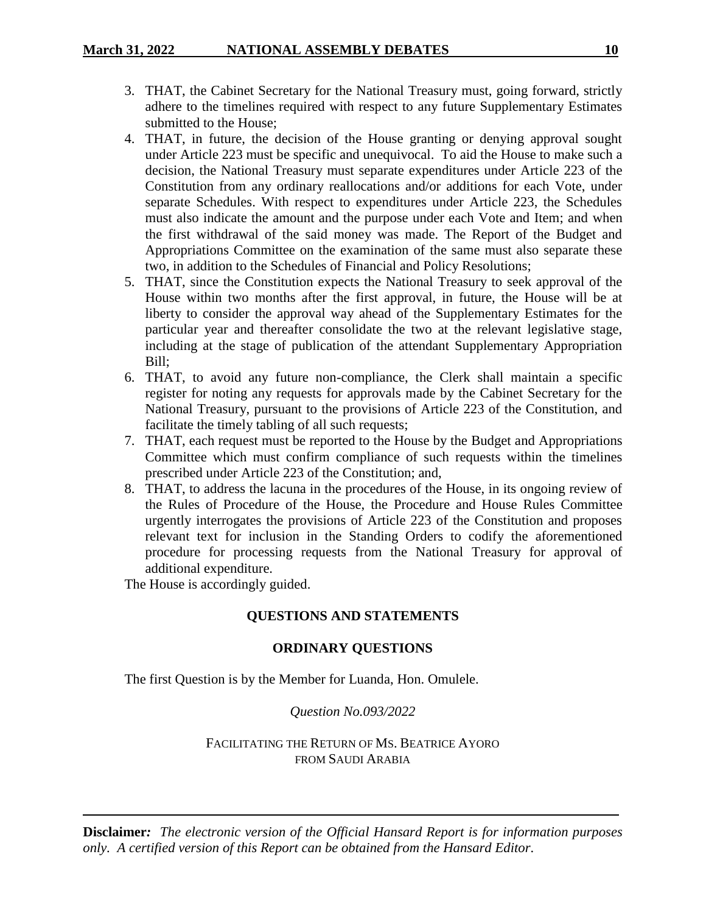- 3. THAT, the Cabinet Secretary for the National Treasury must, going forward, strictly adhere to the timelines required with respect to any future Supplementary Estimates submitted to the House;
- 4. THAT, in future, the decision of the House granting or denying approval sought under Article 223 must be specific and unequivocal. To aid the House to make such a decision, the National Treasury must separate expenditures under Article 223 of the Constitution from any ordinary reallocations and/or additions for each Vote, under separate Schedules. With respect to expenditures under Article 223, the Schedules must also indicate the amount and the purpose under each Vote and Item; and when the first withdrawal of the said money was made. The Report of the Budget and Appropriations Committee on the examination of the same must also separate these two, in addition to the Schedules of Financial and Policy Resolutions;
- 5. THAT, since the Constitution expects the National Treasury to seek approval of the House within two months after the first approval, in future, the House will be at liberty to consider the approval way ahead of the Supplementary Estimates for the particular year and thereafter consolidate the two at the relevant legislative stage, including at the stage of publication of the attendant Supplementary Appropriation Bill;
- 6. THAT, to avoid any future non-compliance, the Clerk shall maintain a specific register for noting any requests for approvals made by the Cabinet Secretary for the National Treasury, pursuant to the provisions of Article 223 of the Constitution, and facilitate the timely tabling of all such requests;
- 7. THAT, each request must be reported to the House by the Budget and Appropriations Committee which must confirm compliance of such requests within the timelines prescribed under Article 223 of the Constitution; and,
- 8. THAT, to address the lacuna in the procedures of the House, in its ongoing review of the Rules of Procedure of the House, the Procedure and House Rules Committee urgently interrogates the provisions of Article 223 of the Constitution and proposes relevant text for inclusion in the Standing Orders to codify the aforementioned procedure for processing requests from the National Treasury for approval of additional expenditure.

The House is accordingly guided.

# **QUESTIONS AND STATEMENTS**

# **ORDINARY QUESTIONS**

The first Question is by the Member for Luanda, Hon. Omulele.

# *Question No.093/2022*

FACILITATING THE RETURN OF MS. BEATRICE AYORO FROM SAUDI ARABIA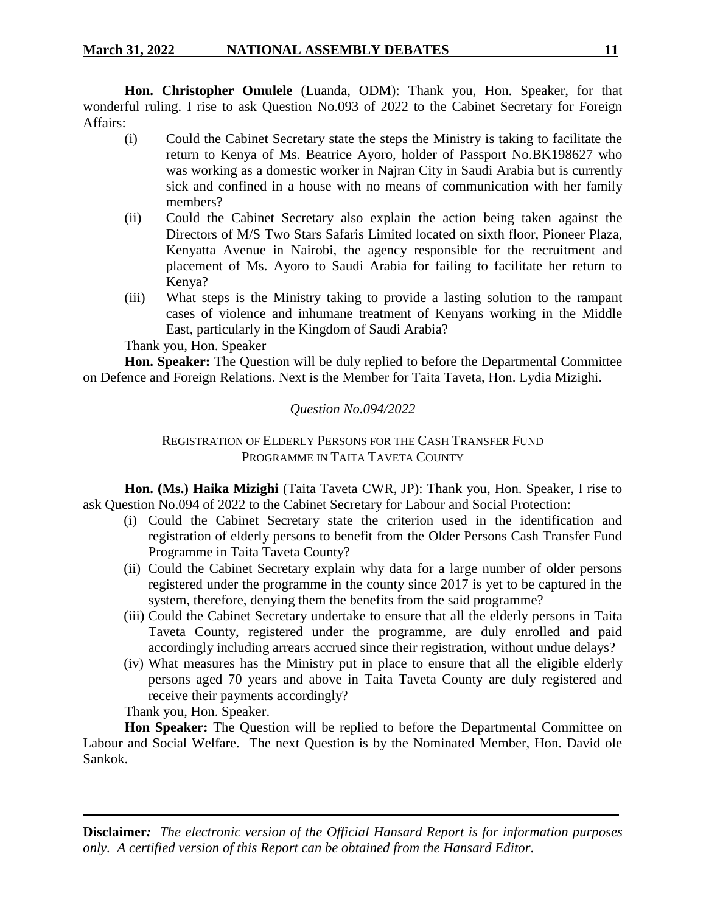**Hon. Christopher Omulele** (Luanda, ODM): Thank you, Hon. Speaker, for that wonderful ruling. I rise to ask Question No.093 of 2022 to the Cabinet Secretary for Foreign Affairs:

- (i) Could the Cabinet Secretary state the steps the Ministry is taking to facilitate the return to Kenya of Ms. Beatrice Ayoro, holder of Passport No.BK198627 who was working as a domestic worker in Najran City in Saudi Arabia but is currently sick and confined in a house with no means of communication with her family members?
- (ii) Could the Cabinet Secretary also explain the action being taken against the Directors of M/S Two Stars Safaris Limited located on sixth floor, Pioneer Plaza, Kenyatta Avenue in Nairobi, the agency responsible for the recruitment and placement of Ms. Ayoro to Saudi Arabia for failing to facilitate her return to Kenya?
- (iii) What steps is the Ministry taking to provide a lasting solution to the rampant cases of violence and inhumane treatment of Kenyans working in the Middle East, particularly in the Kingdom of Saudi Arabia?

Thank you, Hon. Speaker

**Hon. Speaker:** The Question will be duly replied to before the Departmental Committee on Defence and Foreign Relations. Next is the Member for Taita Taveta, Hon. Lydia Mizighi.

# *Question No.094/2022*

# REGISTRATION OF ELDERLY PERSONS FOR THE CASH TRANSFER FUND PROGRAMME IN TAITA TAVETA COUNTY

**Hon. (Ms.) Haika Mizighi** (Taita Taveta CWR, JP): Thank you, Hon. Speaker, I rise to ask Question No.094 of 2022 to the Cabinet Secretary for Labour and Social Protection:

- (i) Could the Cabinet Secretary state the criterion used in the identification and registration of elderly persons to benefit from the Older Persons Cash Transfer Fund Programme in Taita Taveta County?
- (ii) Could the Cabinet Secretary explain why data for a large number of older persons registered under the programme in the county since 2017 is yet to be captured in the system, therefore, denying them the benefits from the said programme?
- (iii) Could the Cabinet Secretary undertake to ensure that all the elderly persons in Taita Taveta County, registered under the programme, are duly enrolled and paid accordingly including arrears accrued since their registration, without undue delays?
- (iv) What measures has the Ministry put in place to ensure that all the eligible elderly persons aged 70 years and above in Taita Taveta County are duly registered and receive their payments accordingly?

Thank you, Hon. Speaker.

**Hon Speaker:** The Question will be replied to before the Departmental Committee on Labour and Social Welfare. The next Question is by the Nominated Member, Hon. David ole Sankok.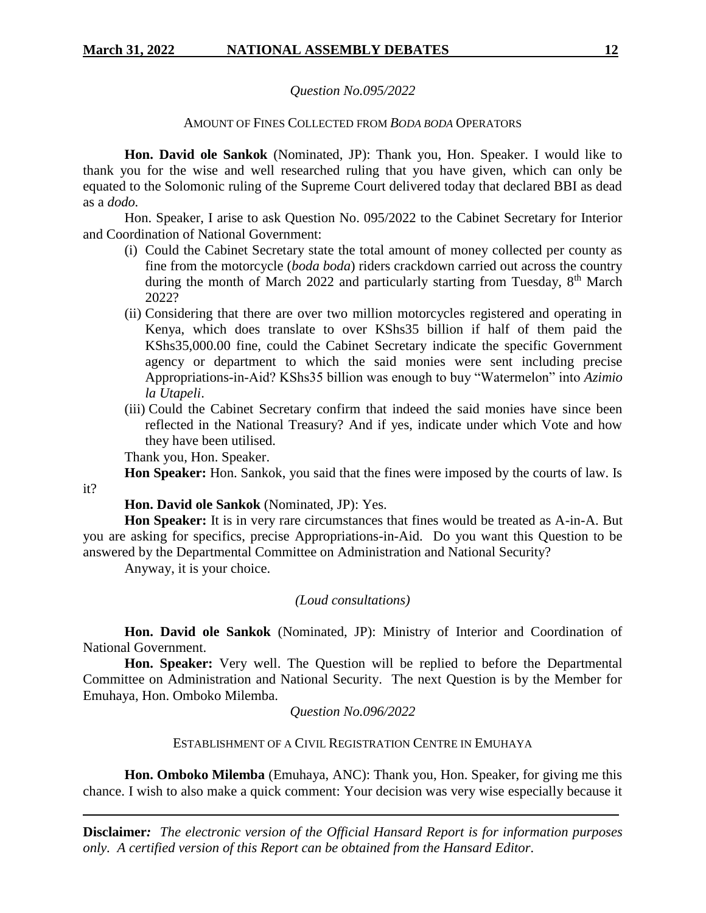### *Question No.095/2022*

### AMOUNT OF FINES COLLECTED FROM *BODA BODA* OPERATORS

**Hon. David ole Sankok** (Nominated, JP): Thank you, Hon. Speaker. I would like to thank you for the wise and well researched ruling that you have given, which can only be equated to the Solomonic ruling of the Supreme Court delivered today that declared BBI as dead as a *dodo.*

Hon. Speaker, I arise to ask Question No. 095/2022 to the Cabinet Secretary for Interior and Coordination of National Government:

- (i) Could the Cabinet Secretary state the total amount of money collected per county as fine from the motorcycle (*boda boda*) riders crackdown carried out across the country during the month of March 2022 and particularly starting from Tuesday,  $8<sup>th</sup>$  March 2022?
- (ii) Considering that there are over two million motorcycles registered and operating in Kenya, which does translate to over KShs35 billion if half of them paid the KShs35,000.00 fine, could the Cabinet Secretary indicate the specific Government agency or department to which the said monies were sent including precise Appropriations-in-Aid? KShs35 billion was enough to buy "Watermelon" into *Azimio la Utapeli*.
- (iii) Could the Cabinet Secretary confirm that indeed the said monies have since been reflected in the National Treasury? And if yes, indicate under which Vote and how they have been utilised.

Thank you, Hon. Speaker.

it?

**Hon Speaker:** Hon. Sankok, you said that the fines were imposed by the courts of law. Is

**Hon. David ole Sankok** (Nominated, JP): Yes.

**Hon Speaker:** It is in very rare circumstances that fines would be treated as A-in-A. But you are asking for specifics, precise Appropriations-in-Aid. Do you want this Question to be answered by the Departmental Committee on Administration and National Security?

Anyway, it is your choice.

### *(Loud consultations)*

**Hon. David ole Sankok** (Nominated, JP): Ministry of Interior and Coordination of National Government.

**Hon. Speaker:** Very well. The Question will be replied to before the Departmental Committee on Administration and National Security. The next Question is by the Member for Emuhaya, Hon. Omboko Milemba.

### *Question No.096/2022*

### ESTABLISHMENT OF A CIVIL REGISTRATION CENTRE IN EMUHAYA

**Hon. Omboko Milemba** (Emuhaya, ANC): Thank you, Hon. Speaker, for giving me this chance. I wish to also make a quick comment: Your decision was very wise especially because it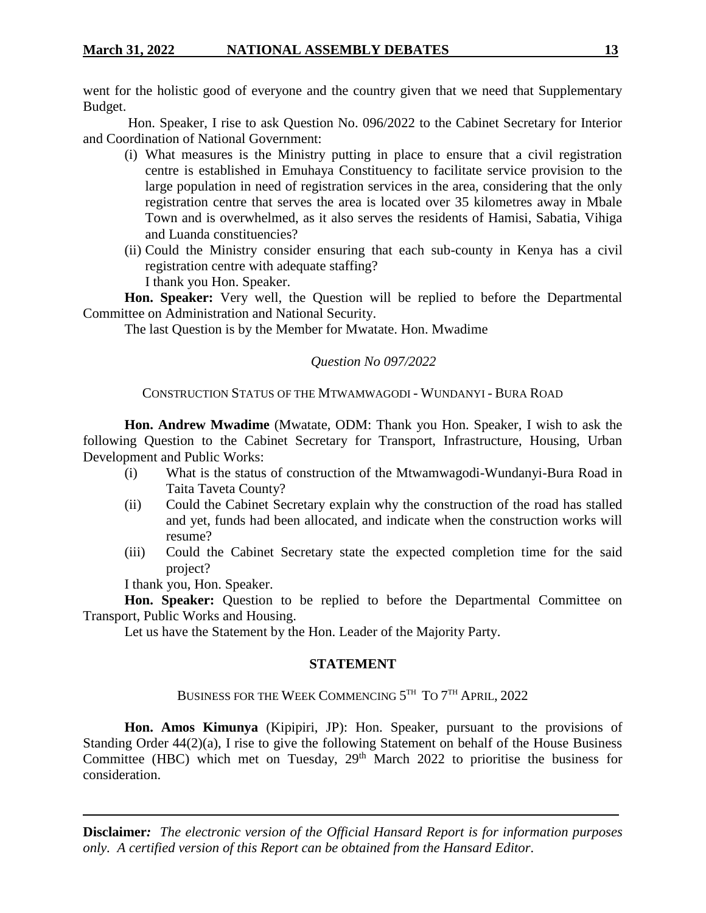went for the holistic good of everyone and the country given that we need that Supplementary Budget.

Hon. Speaker, I rise to ask Question No. 096/2022 to the Cabinet Secretary for Interior and Coordination of National Government:

- (i) What measures is the Ministry putting in place to ensure that a civil registration centre is established in Emuhaya Constituency to facilitate service provision to the large population in need of registration services in the area, considering that the only registration centre that serves the area is located over 35 kilometres away in Mbale Town and is overwhelmed, as it also serves the residents of Hamisi, Sabatia, Vihiga and Luanda constituencies?
- (ii) Could the Ministry consider ensuring that each sub-county in Kenya has a civil registration centre with adequate staffing? I thank you Hon. Speaker.

**Hon. Speaker:** Very well, the Question will be replied to before the Departmental Committee on Administration and National Security.

The last Question is by the Member for Mwatate. Hon. Mwadime

# *Question No 097/2022*

# CONSTRUCTION STATUS OF THE MTWAMWAGODI - WUNDANYI - BURA ROAD

**Hon. Andrew Mwadime** (Mwatate, ODM: Thank you Hon. Speaker, I wish to ask the following Question to the Cabinet Secretary for Transport, Infrastructure, Housing, Urban Development and Public Works:

- (i) What is the status of construction of the Mtwamwagodi-Wundanyi-Bura Road in Taita Taveta County?
- (ii) Could the Cabinet Secretary explain why the construction of the road has stalled and yet, funds had been allocated, and indicate when the construction works will resume?
- (iii) Could the Cabinet Secretary state the expected completion time for the said project?

I thank you, Hon. Speaker.

**Hon. Speaker:** Question to be replied to before the Departmental Committee on Transport, Public Works and Housing.

Let us have the Statement by the Hon. Leader of the Majority Party.

### **STATEMENT**

BUSINESS FOR THE WEEK COMMENCING 5TH TO 7TH APRIL, 2022

**Hon. Amos Kimunya** (Kipipiri, JP): Hon. Speaker, pursuant to the provisions of Standing Order 44(2)(a), I rise to give the following Statement on behalf of the House Business Committee (HBC) which met on Tuesday,  $29<sup>th</sup>$  March 2022 to prioritise the business for consideration.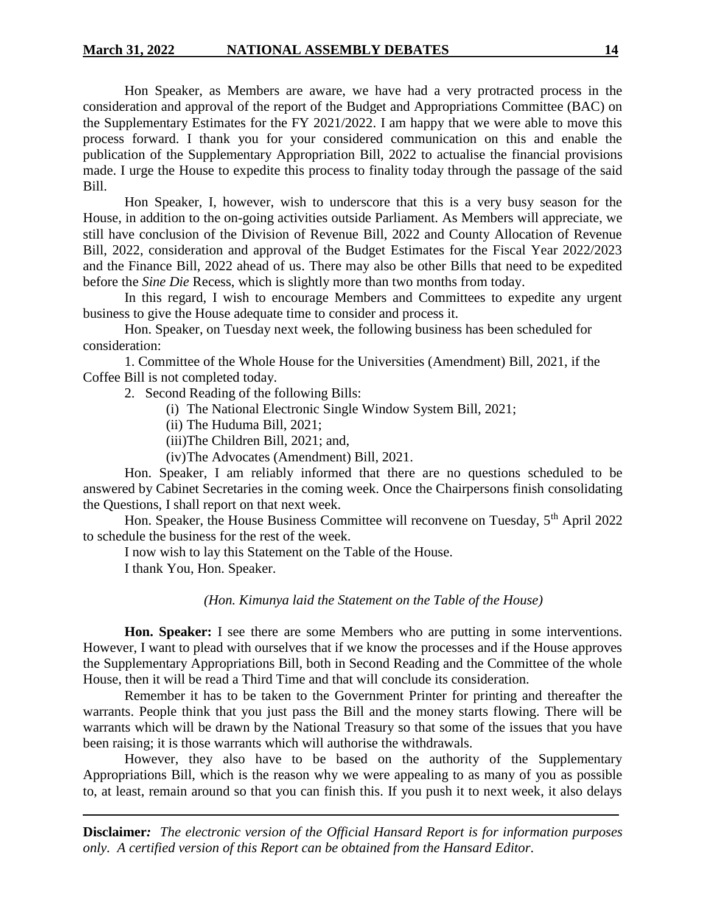Hon Speaker, as Members are aware, we have had a very protracted process in the consideration and approval of the report of the Budget and Appropriations Committee (BAC) on the Supplementary Estimates for the FY 2021/2022. I am happy that we were able to move this process forward. I thank you for your considered communication on this and enable the publication of the Supplementary Appropriation Bill, 2022 to actualise the financial provisions made. I urge the House to expedite this process to finality today through the passage of the said Bill.

Hon Speaker, I, however, wish to underscore that this is a very busy season for the House, in addition to the on-going activities outside Parliament. As Members will appreciate, we still have conclusion of the Division of Revenue Bill, 2022 and County Allocation of Revenue Bill, 2022, consideration and approval of the Budget Estimates for the Fiscal Year 2022/2023 and the Finance Bill, 2022 ahead of us. There may also be other Bills that need to be expedited before the *Sine Die* Recess, which is slightly more than two months from today.

In this regard, I wish to encourage Members and Committees to expedite any urgent business to give the House adequate time to consider and process it.

Hon. Speaker, on Tuesday next week, the following business has been scheduled for consideration:

1. Committee of the Whole House for the Universities (Amendment) Bill, 2021, if the Coffee Bill is not completed today.

2. Second Reading of the following Bills:

- (i) The National Electronic Single Window System Bill, 2021;
- (ii) The Huduma Bill, 2021;
- (iii)The Children Bill, 2021; and,
- (iv)The Advocates (Amendment) Bill, 2021.

Hon. Speaker, I am reliably informed that there are no questions scheduled to be answered by Cabinet Secretaries in the coming week. Once the Chairpersons finish consolidating the Questions, I shall report on that next week.

Hon. Speaker, the House Business Committee will reconvene on Tuesday, 5<sup>th</sup> April 2022 to schedule the business for the rest of the week.

I now wish to lay this Statement on the Table of the House.

I thank You, Hon. Speaker.

#### *(Hon. Kimunya laid the Statement on the Table of the House)*

**Hon. Speaker:** I see there are some Members who are putting in some interventions. However, I want to plead with ourselves that if we know the processes and if the House approves the Supplementary Appropriations Bill, both in Second Reading and the Committee of the whole House, then it will be read a Third Time and that will conclude its consideration.

Remember it has to be taken to the Government Printer for printing and thereafter the warrants. People think that you just pass the Bill and the money starts flowing. There will be warrants which will be drawn by the National Treasury so that some of the issues that you have been raising; it is those warrants which will authorise the withdrawals.

However, they also have to be based on the authority of the Supplementary Appropriations Bill, which is the reason why we were appealing to as many of you as possible to, at least, remain around so that you can finish this. If you push it to next week, it also delays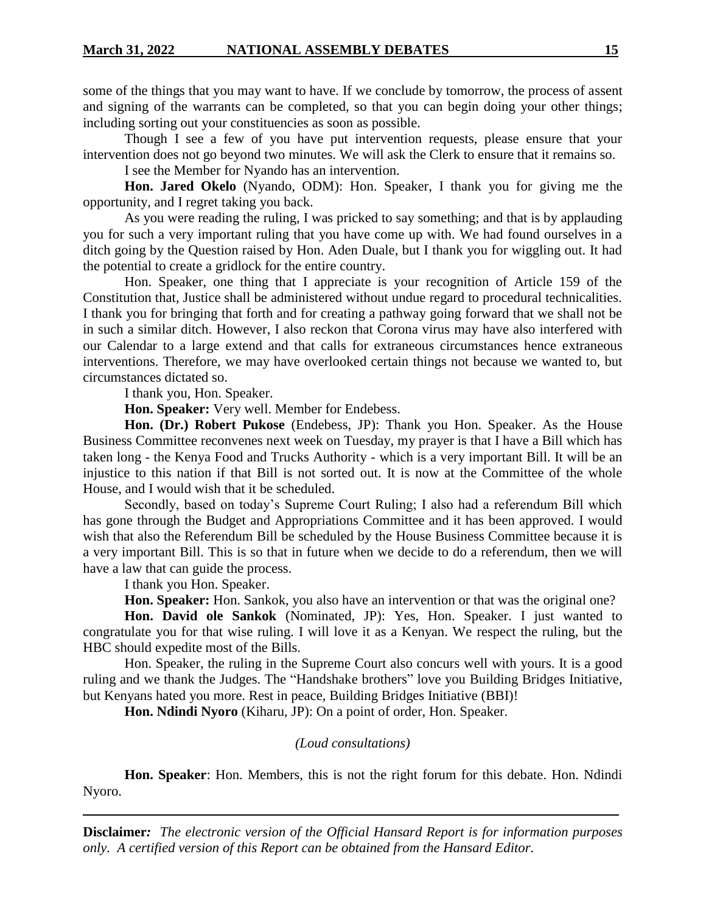some of the things that you may want to have. If we conclude by tomorrow, the process of assent and signing of the warrants can be completed, so that you can begin doing your other things; including sorting out your constituencies as soon as possible.

Though I see a few of you have put intervention requests, please ensure that your intervention does not go beyond two minutes. We will ask the Clerk to ensure that it remains so.

I see the Member for Nyando has an intervention.

**Hon. Jared Okelo** (Nyando, ODM): Hon. Speaker, I thank you for giving me the opportunity, and I regret taking you back.

As you were reading the ruling, I was pricked to say something; and that is by applauding you for such a very important ruling that you have come up with. We had found ourselves in a ditch going by the Question raised by Hon. Aden Duale, but I thank you for wiggling out. It had the potential to create a gridlock for the entire country.

Hon. Speaker, one thing that I appreciate is your recognition of Article 159 of the Constitution that, Justice shall be administered without undue regard to procedural technicalities. I thank you for bringing that forth and for creating a pathway going forward that we shall not be in such a similar ditch. However, I also reckon that Corona virus may have also interfered with our Calendar to a large extend and that calls for extraneous circumstances hence extraneous interventions. Therefore, we may have overlooked certain things not because we wanted to, but circumstances dictated so.

I thank you, Hon. Speaker.

**Hon. Speaker:** Very well. Member for Endebess.

**Hon. (Dr.) Robert Pukose** (Endebess, JP): Thank you Hon. Speaker. As the House Business Committee reconvenes next week on Tuesday, my prayer is that I have a Bill which has taken long - the Kenya Food and Trucks Authority - which is a very important Bill. It will be an injustice to this nation if that Bill is not sorted out. It is now at the Committee of the whole House, and I would wish that it be scheduled.

Secondly, based on today's Supreme Court Ruling; I also had a referendum Bill which has gone through the Budget and Appropriations Committee and it has been approved. I would wish that also the Referendum Bill be scheduled by the House Business Committee because it is a very important Bill. This is so that in future when we decide to do a referendum, then we will have a law that can guide the process.

I thank you Hon. Speaker.

**Hon. Speaker:** Hon. Sankok, you also have an intervention or that was the original one?

**Hon. David ole Sankok** (Nominated, JP): Yes, Hon. Speaker. I just wanted to congratulate you for that wise ruling. I will love it as a Kenyan. We respect the ruling, but the HBC should expedite most of the Bills.

Hon. Speaker, the ruling in the Supreme Court also concurs well with yours. It is a good ruling and we thank the Judges. The "Handshake brothers" love you Building Bridges Initiative, but Kenyans hated you more. Rest in peace, Building Bridges Initiative (BBI)!

**Hon. Ndindi Nyoro** (Kiharu, JP): On a point of order, Hon. Speaker.

### *(Loud consultations)*

**Hon. Speaker**: Hon. Members, this is not the right forum for this debate. Hon. Ndindi Nyoro.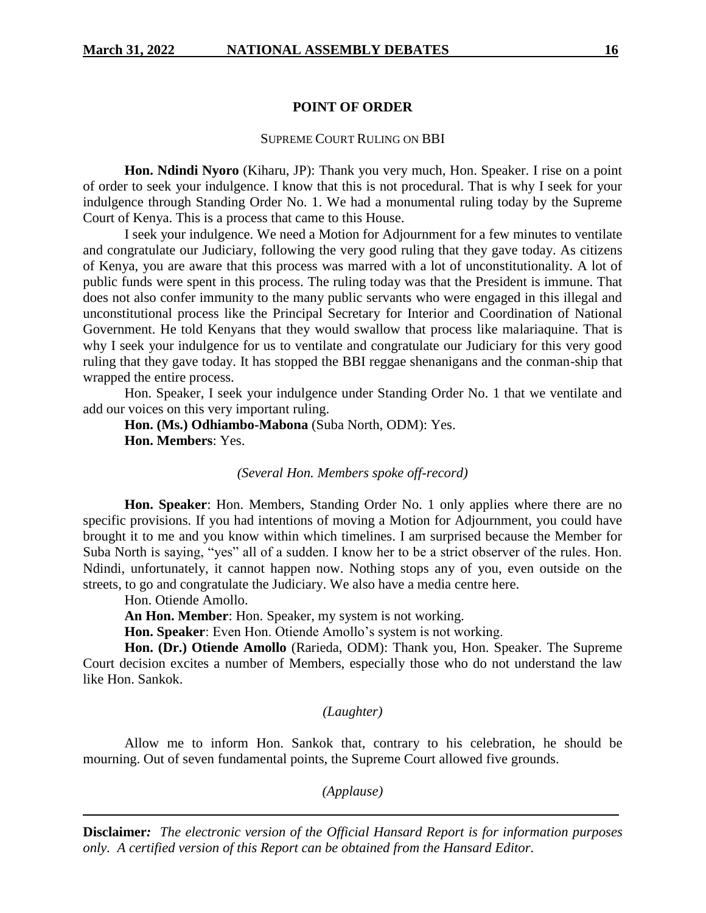### **POINT OF ORDER**

#### SUPREME COURT RULING ON BBI

**Hon. Ndindi Nyoro** (Kiharu, JP): Thank you very much, Hon. Speaker. I rise on a point of order to seek your indulgence. I know that this is not procedural. That is why I seek for your indulgence through Standing Order No. 1. We had a monumental ruling today by the Supreme Court of Kenya. This is a process that came to this House.

I seek your indulgence. We need a Motion for Adjournment for a few minutes to ventilate and congratulate our Judiciary, following the very good ruling that they gave today. As citizens of Kenya, you are aware that this process was marred with a lot of unconstitutionality. A lot of public funds were spent in this process. The ruling today was that the President is immune. That does not also confer immunity to the many public servants who were engaged in this illegal and unconstitutional process like the Principal Secretary for Interior and Coordination of National Government. He told Kenyans that they would swallow that process like malariaquine. That is why I seek your indulgence for us to ventilate and congratulate our Judiciary for this very good ruling that they gave today. It has stopped the BBI reggae shenanigans and the conman-ship that wrapped the entire process.

Hon. Speaker, I seek your indulgence under Standing Order No. 1 that we ventilate and add our voices on this very important ruling.

**Hon. (Ms.) Odhiambo-Mabona** (Suba North, ODM): Yes. **Hon. Members**: Yes.

*(Several Hon. Members spoke off-record)*

**Hon. Speaker**: Hon. Members, Standing Order No. 1 only applies where there are no specific provisions. If you had intentions of moving a Motion for Adjournment, you could have brought it to me and you know within which timelines. I am surprised because the Member for Suba North is saying, "yes" all of a sudden. I know her to be a strict observer of the rules. Hon. Ndindi, unfortunately, it cannot happen now. Nothing stops any of you, even outside on the streets, to go and congratulate the Judiciary. We also have a media centre here.

Hon. Otiende Amollo.

**An Hon. Member**: Hon. Speaker, my system is not working.

**Hon. Speaker**: Even Hon. Otiende Amollo's system is not working.

**Hon. (Dr.) Otiende Amollo** (Rarieda, ODM): Thank you, Hon. Speaker. The Supreme Court decision excites a number of Members, especially those who do not understand the law like Hon. Sankok.

#### *(Laughter)*

Allow me to inform Hon. Sankok that, contrary to his celebration, he should be mourning. Out of seven fundamental points, the Supreme Court allowed five grounds.

*(Applause)*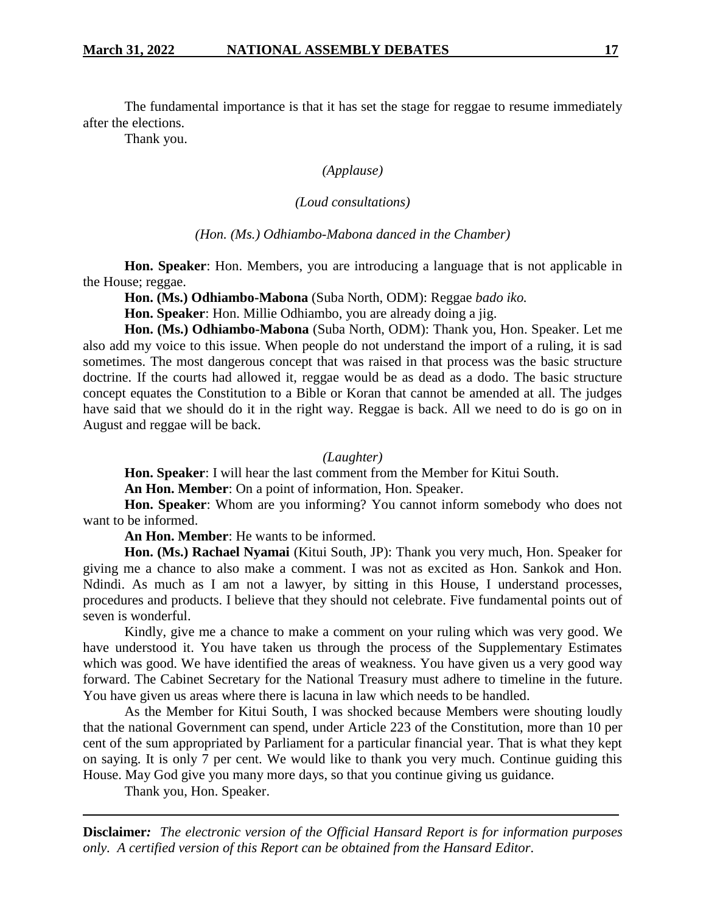The fundamental importance is that it has set the stage for reggae to resume immediately after the elections.

Thank you.

### *(Applause)*

### *(Loud consultations)*

### *(Hon. (Ms.) Odhiambo-Mabona danced in the Chamber)*

**Hon. Speaker**: Hon. Members, you are introducing a language that is not applicable in the House; reggae.

**Hon. (Ms.) Odhiambo-Mabona** (Suba North, ODM): Reggae *bado iko.*

**Hon. Speaker**: Hon. Millie Odhiambo, you are already doing a jig.

**Hon. (Ms.) Odhiambo-Mabona** (Suba North, ODM): Thank you, Hon. Speaker. Let me also add my voice to this issue. When people do not understand the import of a ruling, it is sad sometimes. The most dangerous concept that was raised in that process was the basic structure doctrine. If the courts had allowed it, reggae would be as dead as a dodo. The basic structure concept equates the Constitution to a Bible or Koran that cannot be amended at all. The judges have said that we should do it in the right way. Reggae is back. All we need to do is go on in August and reggae will be back.

#### *(Laughter)*

**Hon. Speaker**: I will hear the last comment from the Member for Kitui South.

**An Hon. Member**: On a point of information, Hon. Speaker.

**Hon. Speaker**: Whom are you informing? You cannot inform somebody who does not want to be informed.

**An Hon. Member**: He wants to be informed.

**Hon. (Ms.) Rachael Nyamai** (Kitui South, JP): Thank you very much, Hon. Speaker for giving me a chance to also make a comment. I was not as excited as Hon. Sankok and Hon. Ndindi. As much as I am not a lawyer, by sitting in this House, I understand processes, procedures and products. I believe that they should not celebrate. Five fundamental points out of seven is wonderful.

Kindly, give me a chance to make a comment on your ruling which was very good. We have understood it. You have taken us through the process of the Supplementary Estimates which was good. We have identified the areas of weakness. You have given us a very good way forward. The Cabinet Secretary for the National Treasury must adhere to timeline in the future. You have given us areas where there is lacuna in law which needs to be handled.

As the Member for Kitui South, I was shocked because Members were shouting loudly that the national Government can spend, under Article 223 of the Constitution, more than 10 per cent of the sum appropriated by Parliament for a particular financial year. That is what they kept on saying. It is only 7 per cent. We would like to thank you very much. Continue guiding this House. May God give you many more days, so that you continue giving us guidance.

Thank you, Hon. Speaker.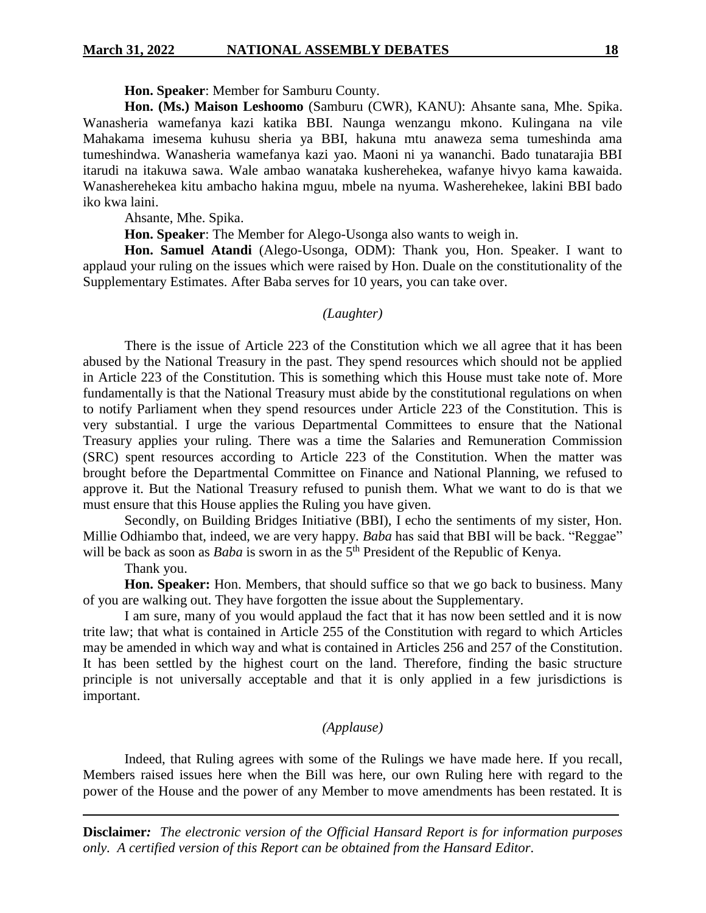### **Hon. Speaker**: Member for Samburu County.

**Hon. (Ms.) Maison Leshoomo** (Samburu (CWR), KANU): Ahsante sana, Mhe. Spika. Wanasheria wamefanya kazi katika BBI. Naunga wenzangu mkono. Kulingana na vile Mahakama imesema kuhusu sheria ya BBI, hakuna mtu anaweza sema tumeshinda ama tumeshindwa. Wanasheria wamefanya kazi yao. Maoni ni ya wananchi. Bado tunatarajia BBI itarudi na itakuwa sawa. Wale ambao wanataka kusherehekea, wafanye hivyo kama kawaida. Wanasherehekea kitu ambacho hakina mguu, mbele na nyuma. Washerehekee, lakini BBI bado iko kwa laini.

Ahsante, Mhe. Spika.

**Hon. Speaker**: The Member for Alego-Usonga also wants to weigh in.

**Hon. Samuel Atandi** (Alego-Usonga, ODM): Thank you, Hon. Speaker. I want to applaud your ruling on the issues which were raised by Hon. Duale on the constitutionality of the Supplementary Estimates. After Baba serves for 10 years, you can take over.

#### *(Laughter)*

There is the issue of Article 223 of the Constitution which we all agree that it has been abused by the National Treasury in the past. They spend resources which should not be applied in Article 223 of the Constitution. This is something which this House must take note of. More fundamentally is that the National Treasury must abide by the constitutional regulations on when to notify Parliament when they spend resources under Article 223 of the Constitution. This is very substantial. I urge the various Departmental Committees to ensure that the National Treasury applies your ruling. There was a time the Salaries and Remuneration Commission (SRC) spent resources according to Article 223 of the Constitution. When the matter was brought before the Departmental Committee on Finance and National Planning, we refused to approve it. But the National Treasury refused to punish them. What we want to do is that we must ensure that this House applies the Ruling you have given.

Secondly, on Building Bridges Initiative (BBI), I echo the sentiments of my sister, Hon. Millie Odhiambo that, indeed, we are very happy. *Baba* has said that BBI will be back. "Reggae" will be back as soon as *Baba* is sworn in as the 5<sup>th</sup> President of the Republic of Kenya.

### Thank you.

**Hon. Speaker:** Hon. Members, that should suffice so that we go back to business. Many of you are walking out. They have forgotten the issue about the Supplementary.

I am sure, many of you would applaud the fact that it has now been settled and it is now trite law; that what is contained in Article 255 of the Constitution with regard to which Articles may be amended in which way and what is contained in Articles 256 and 257 of the Constitution. It has been settled by the highest court on the land. Therefore, finding the basic structure principle is not universally acceptable and that it is only applied in a few jurisdictions is important.

### *(Applause)*

Indeed, that Ruling agrees with some of the Rulings we have made here. If you recall, Members raised issues here when the Bill was here, our own Ruling here with regard to the power of the House and the power of any Member to move amendments has been restated. It is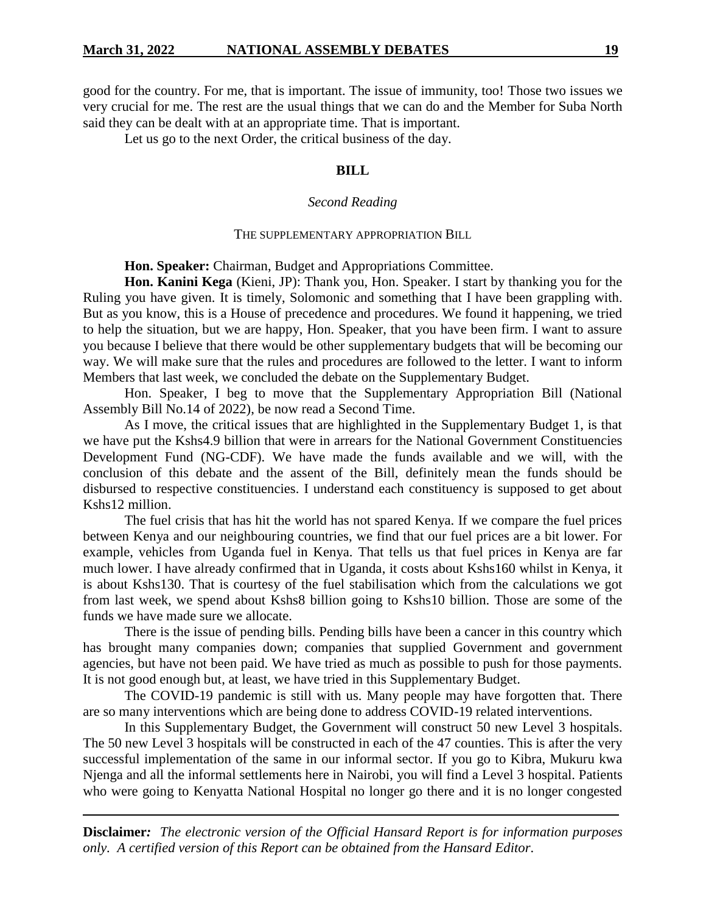good for the country. For me, that is important. The issue of immunity, too! Those two issues we very crucial for me. The rest are the usual things that we can do and the Member for Suba North said they can be dealt with at an appropriate time. That is important.

Let us go to the next Order, the critical business of the day.

### **BILL**

### *Second Reading*

#### THE SUPPLEMENTARY APPROPRIATION BILL

**Hon. Speaker:** Chairman, Budget and Appropriations Committee.

**Hon. Kanini Kega** (Kieni, JP): Thank you, Hon. Speaker. I start by thanking you for the Ruling you have given. It is timely, Solomonic and something that I have been grappling with. But as you know, this is a House of precedence and procedures. We found it happening, we tried to help the situation, but we are happy, Hon. Speaker, that you have been firm. I want to assure you because I believe that there would be other supplementary budgets that will be becoming our way. We will make sure that the rules and procedures are followed to the letter. I want to inform Members that last week, we concluded the debate on the Supplementary Budget.

Hon. Speaker, I beg to move that the Supplementary Appropriation Bill (National Assembly Bill No.14 of 2022), be now read a Second Time.

As I move, the critical issues that are highlighted in the Supplementary Budget 1, is that we have put the Kshs4.9 billion that were in arrears for the National Government Constituencies Development Fund (NG-CDF). We have made the funds available and we will, with the conclusion of this debate and the assent of the Bill, definitely mean the funds should be disbursed to respective constituencies. I understand each constituency is supposed to get about Kshs12 million.

The fuel crisis that has hit the world has not spared Kenya. If we compare the fuel prices between Kenya and our neighbouring countries, we find that our fuel prices are a bit lower. For example, vehicles from Uganda fuel in Kenya. That tells us that fuel prices in Kenya are far much lower. I have already confirmed that in Uganda, it costs about Kshs160 whilst in Kenya, it is about Kshs130. That is courtesy of the fuel stabilisation which from the calculations we got from last week, we spend about Kshs8 billion going to Kshs10 billion. Those are some of the funds we have made sure we allocate.

There is the issue of pending bills. Pending bills have been a cancer in this country which has brought many companies down; companies that supplied Government and government agencies, but have not been paid. We have tried as much as possible to push for those payments. It is not good enough but, at least, we have tried in this Supplementary Budget.

The COVID-19 pandemic is still with us. Many people may have forgotten that. There are so many interventions which are being done to address COVID-19 related interventions.

In this Supplementary Budget, the Government will construct 50 new Level 3 hospitals. The 50 new Level 3 hospitals will be constructed in each of the 47 counties. This is after the very successful implementation of the same in our informal sector. If you go to Kibra, Mukuru kwa Njenga and all the informal settlements here in Nairobi, you will find a Level 3 hospital. Patients who were going to Kenyatta National Hospital no longer go there and it is no longer congested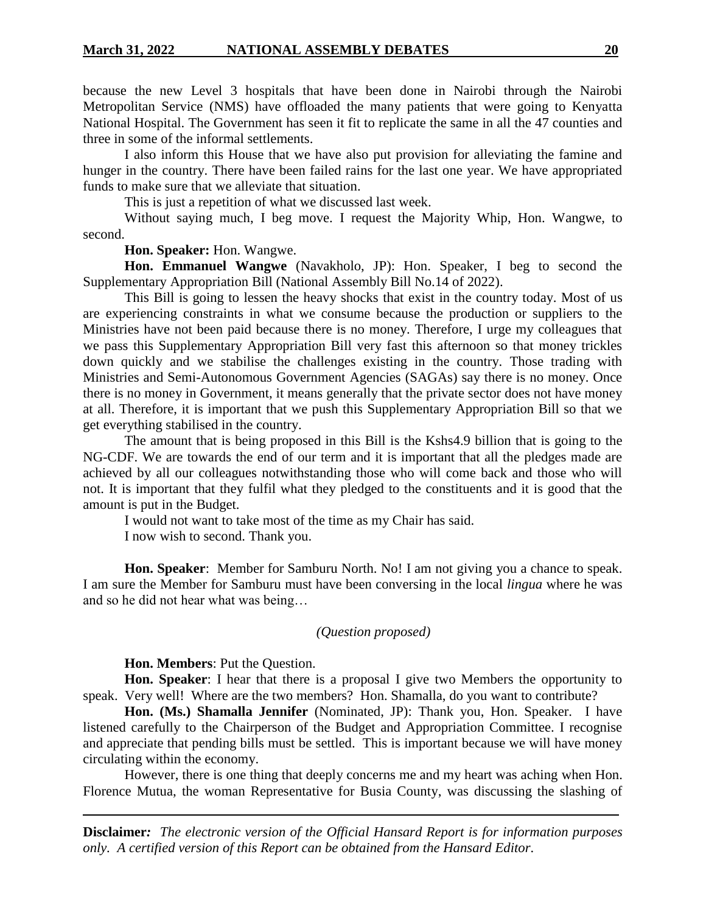because the new Level 3 hospitals that have been done in Nairobi through the Nairobi Metropolitan Service (NMS) have offloaded the many patients that were going to Kenyatta National Hospital. The Government has seen it fit to replicate the same in all the 47 counties and three in some of the informal settlements.

I also inform this House that we have also put provision for alleviating the famine and hunger in the country. There have been failed rains for the last one year. We have appropriated funds to make sure that we alleviate that situation.

This is just a repetition of what we discussed last week.

Without saying much, I beg move. I request the Majority Whip, Hon. Wangwe, to second.

### **Hon. Speaker:** Hon. Wangwe.

**Hon. Emmanuel Wangwe** (Navakholo, JP): Hon. Speaker, I beg to second the Supplementary Appropriation Bill (National Assembly Bill No.14 of 2022).

This Bill is going to lessen the heavy shocks that exist in the country today. Most of us are experiencing constraints in what we consume because the production or suppliers to the Ministries have not been paid because there is no money. Therefore, I urge my colleagues that we pass this Supplementary Appropriation Bill very fast this afternoon so that money trickles down quickly and we stabilise the challenges existing in the country. Those trading with Ministries and Semi-Autonomous Government Agencies (SAGAs) say there is no money. Once there is no money in Government, it means generally that the private sector does not have money at all. Therefore, it is important that we push this Supplementary Appropriation Bill so that we get everything stabilised in the country.

The amount that is being proposed in this Bill is the Kshs4.9 billion that is going to the NG-CDF. We are towards the end of our term and it is important that all the pledges made are achieved by all our colleagues notwithstanding those who will come back and those who will not. It is important that they fulfil what they pledged to the constituents and it is good that the amount is put in the Budget.

I would not want to take most of the time as my Chair has said.

I now wish to second. Thank you.

**Hon. Speaker**: Member for Samburu North. No! I am not giving you a chance to speak. I am sure the Member for Samburu must have been conversing in the local *lingua* where he was and so he did not hear what was being…

### *(Question proposed)*

**Hon. Members**: Put the Question.

**Hon. Speaker**: I hear that there is a proposal I give two Members the opportunity to speak. Very well! Where are the two members? Hon. Shamalla, do you want to contribute?

**Hon. (Ms.) Shamalla Jennifer** (Nominated, JP): Thank you, Hon. Speaker. I have listened carefully to the Chairperson of the Budget and Appropriation Committee. I recognise and appreciate that pending bills must be settled. This is important because we will have money circulating within the economy.

However, there is one thing that deeply concerns me and my heart was aching when Hon. Florence Mutua, the woman Representative for Busia County, was discussing the slashing of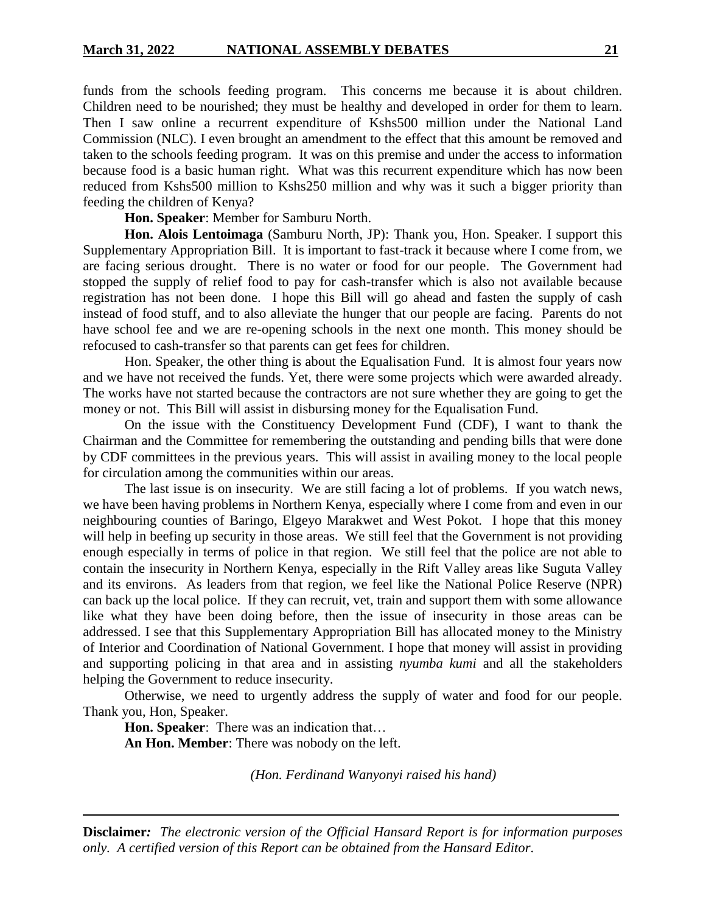funds from the schools feeding program. This concerns me because it is about children. Children need to be nourished; they must be healthy and developed in order for them to learn. Then I saw online a recurrent expenditure of Kshs500 million under the National Land Commission (NLC). I even brought an amendment to the effect that this amount be removed and taken to the schools feeding program. It was on this premise and under the access to information because food is a basic human right. What was this recurrent expenditure which has now been reduced from Kshs500 million to Kshs250 million and why was it such a bigger priority than feeding the children of Kenya?

**Hon. Speaker**: Member for Samburu North.

**Hon. Alois Lentoimaga** (Samburu North, JP): Thank you, Hon. Speaker. I support this Supplementary Appropriation Bill. It is important to fast-track it because where I come from, we are facing serious drought. There is no water or food for our people. The Government had stopped the supply of relief food to pay for cash-transfer which is also not available because registration has not been done. I hope this Bill will go ahead and fasten the supply of cash instead of food stuff, and to also alleviate the hunger that our people are facing. Parents do not have school fee and we are re-opening schools in the next one month. This money should be refocused to cash-transfer so that parents can get fees for children.

Hon. Speaker, the other thing is about the Equalisation Fund. It is almost four years now and we have not received the funds. Yet, there were some projects which were awarded already. The works have not started because the contractors are not sure whether they are going to get the money or not. This Bill will assist in disbursing money for the Equalisation Fund.

On the issue with the Constituency Development Fund (CDF), I want to thank the Chairman and the Committee for remembering the outstanding and pending bills that were done by CDF committees in the previous years. This will assist in availing money to the local people for circulation among the communities within our areas.

The last issue is on insecurity. We are still facing a lot of problems. If you watch news, we have been having problems in Northern Kenya, especially where I come from and even in our neighbouring counties of Baringo, Elgeyo Marakwet and West Pokot. I hope that this money will help in beefing up security in those areas. We still feel that the Government is not providing enough especially in terms of police in that region. We still feel that the police are not able to contain the insecurity in Northern Kenya, especially in the Rift Valley areas like Suguta Valley and its environs. As leaders from that region, we feel like the National Police Reserve (NPR) can back up the local police. If they can recruit, vet, train and support them with some allowance like what they have been doing before, then the issue of insecurity in those areas can be addressed. I see that this Supplementary Appropriation Bill has allocated money to the Ministry of Interior and Coordination of National Government. I hope that money will assist in providing and supporting policing in that area and in assisting *nyumba kumi* and all the stakeholders helping the Government to reduce insecurity.

Otherwise, we need to urgently address the supply of water and food for our people. Thank you, Hon, Speaker.

**Hon. Speaker**: There was an indication that… **An Hon. Member**: There was nobody on the left.

*(Hon. Ferdinand Wanyonyi raised his hand)*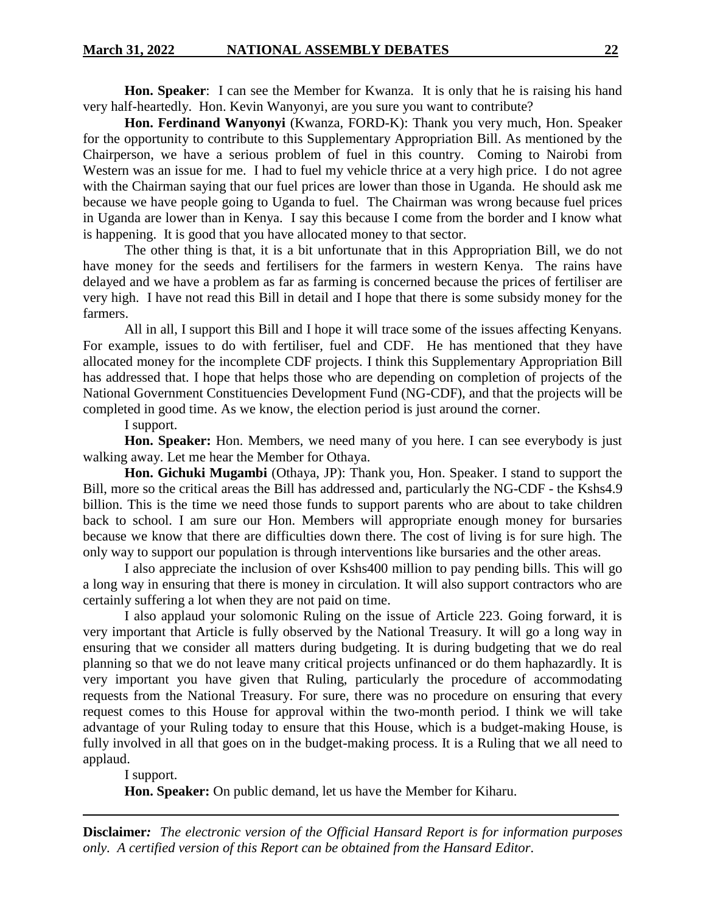**Hon. Speaker**: I can see the Member for Kwanza. It is only that he is raising his hand very half-heartedly. Hon. Kevin Wanyonyi, are you sure you want to contribute?

**Hon. Ferdinand Wanyonyi** (Kwanza, FORD-K): Thank you very much, Hon. Speaker for the opportunity to contribute to this Supplementary Appropriation Bill. As mentioned by the Chairperson, we have a serious problem of fuel in this country. Coming to Nairobi from Western was an issue for me. I had to fuel my vehicle thrice at a very high price. I do not agree with the Chairman saying that our fuel prices are lower than those in Uganda. He should ask me because we have people going to Uganda to fuel. The Chairman was wrong because fuel prices in Uganda are lower than in Kenya. I say this because I come from the border and I know what is happening. It is good that you have allocated money to that sector.

The other thing is that, it is a bit unfortunate that in this Appropriation Bill, we do not have money for the seeds and fertilisers for the farmers in western Kenya. The rains have delayed and we have a problem as far as farming is concerned because the prices of fertiliser are very high. I have not read this Bill in detail and I hope that there is some subsidy money for the farmers.

All in all, I support this Bill and I hope it will trace some of the issues affecting Kenyans. For example, issues to do with fertiliser, fuel and CDF. He has mentioned that they have allocated money for the incomplete CDF projects. I think this Supplementary Appropriation Bill has addressed that. I hope that helps those who are depending on completion of projects of the National Government Constituencies Development Fund (NG-CDF), and that the projects will be completed in good time. As we know, the election period is just around the corner.

I support.

**Hon. Speaker:** Hon. Members, we need many of you here. I can see everybody is just walking away. Let me hear the Member for Othaya.

**Hon. Gichuki Mugambi** (Othaya, JP): Thank you, Hon. Speaker. I stand to support the Bill, more so the critical areas the Bill has addressed and, particularly the NG-CDF - the Kshs4.9 billion. This is the time we need those funds to support parents who are about to take children back to school. I am sure our Hon. Members will appropriate enough money for bursaries because we know that there are difficulties down there. The cost of living is for sure high. The only way to support our population is through interventions like bursaries and the other areas.

I also appreciate the inclusion of over Kshs400 million to pay pending bills. This will go a long way in ensuring that there is money in circulation. It will also support contractors who are certainly suffering a lot when they are not paid on time.

I also applaud your solomonic Ruling on the issue of Article 223. Going forward, it is very important that Article is fully observed by the National Treasury. It will go a long way in ensuring that we consider all matters during budgeting. It is during budgeting that we do real planning so that we do not leave many critical projects unfinanced or do them haphazardly. It is very important you have given that Ruling, particularly the procedure of accommodating requests from the National Treasury. For sure, there was no procedure on ensuring that every request comes to this House for approval within the two-month period. I think we will take advantage of your Ruling today to ensure that this House, which is a budget-making House, is fully involved in all that goes on in the budget-making process. It is a Ruling that we all need to applaud.

I support.

**Hon. Speaker:** On public demand, let us have the Member for Kiharu.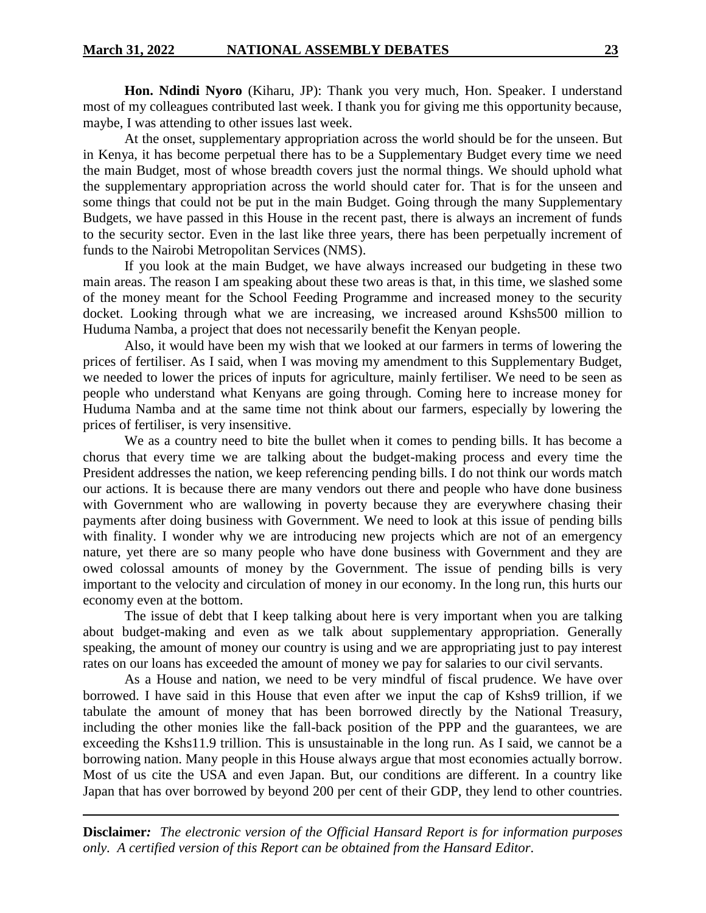**Hon. Ndindi Nyoro** (Kiharu, JP): Thank you very much, Hon. Speaker. I understand most of my colleagues contributed last week. I thank you for giving me this opportunity because, maybe, I was attending to other issues last week.

At the onset, supplementary appropriation across the world should be for the unseen. But in Kenya, it has become perpetual there has to be a Supplementary Budget every time we need the main Budget, most of whose breadth covers just the normal things. We should uphold what the supplementary appropriation across the world should cater for. That is for the unseen and some things that could not be put in the main Budget. Going through the many Supplementary Budgets, we have passed in this House in the recent past, there is always an increment of funds to the security sector. Even in the last like three years, there has been perpetually increment of funds to the Nairobi Metropolitan Services (NMS).

If you look at the main Budget, we have always increased our budgeting in these two main areas. The reason I am speaking about these two areas is that, in this time, we slashed some of the money meant for the School Feeding Programme and increased money to the security docket. Looking through what we are increasing, we increased around Kshs500 million to Huduma Namba, a project that does not necessarily benefit the Kenyan people.

Also, it would have been my wish that we looked at our farmers in terms of lowering the prices of fertiliser. As I said, when I was moving my amendment to this Supplementary Budget, we needed to lower the prices of inputs for agriculture, mainly fertiliser. We need to be seen as people who understand what Kenyans are going through. Coming here to increase money for Huduma Namba and at the same time not think about our farmers, especially by lowering the prices of fertiliser, is very insensitive.

We as a country need to bite the bullet when it comes to pending bills. It has become a chorus that every time we are talking about the budget-making process and every time the President addresses the nation, we keep referencing pending bills. I do not think our words match our actions. It is because there are many vendors out there and people who have done business with Government who are wallowing in poverty because they are everywhere chasing their payments after doing business with Government. We need to look at this issue of pending bills with finality. I wonder why we are introducing new projects which are not of an emergency nature, yet there are so many people who have done business with Government and they are owed colossal amounts of money by the Government. The issue of pending bills is very important to the velocity and circulation of money in our economy. In the long run, this hurts our economy even at the bottom.

The issue of debt that I keep talking about here is very important when you are talking about budget-making and even as we talk about supplementary appropriation. Generally speaking, the amount of money our country is using and we are appropriating just to pay interest rates on our loans has exceeded the amount of money we pay for salaries to our civil servants.

As a House and nation, we need to be very mindful of fiscal prudence. We have over borrowed. I have said in this House that even after we input the cap of Kshs9 trillion, if we tabulate the amount of money that has been borrowed directly by the National Treasury, including the other monies like the fall-back position of the PPP and the guarantees, we are exceeding the Kshs11.9 trillion. This is unsustainable in the long run. As I said, we cannot be a borrowing nation. Many people in this House always argue that most economies actually borrow. Most of us cite the USA and even Japan. But, our conditions are different. In a country like Japan that has over borrowed by beyond 200 per cent of their GDP, they lend to other countries.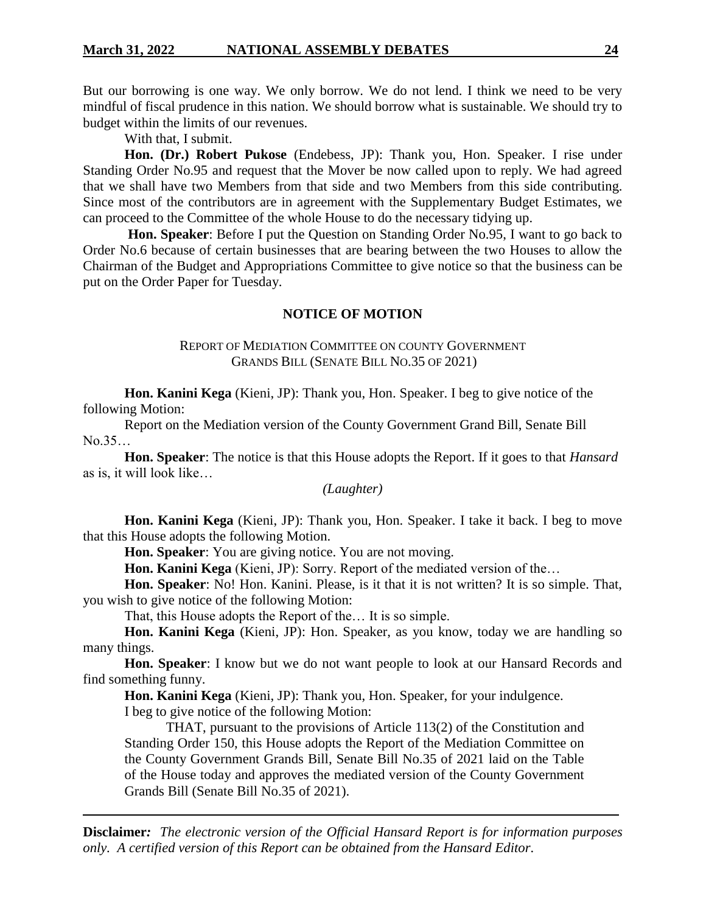But our borrowing is one way. We only borrow. We do not lend. I think we need to be very mindful of fiscal prudence in this nation. We should borrow what is sustainable. We should try to budget within the limits of our revenues.

With that, I submit.

**Hon. (Dr.) Robert Pukose** (Endebess, JP): Thank you, Hon. Speaker. I rise under Standing Order No.95 and request that the Mover be now called upon to reply. We had agreed that we shall have two Members from that side and two Members from this side contributing. Since most of the contributors are in agreement with the Supplementary Budget Estimates, we can proceed to the Committee of the whole House to do the necessary tidying up.

**Hon. Speaker**: Before I put the Question on Standing Order No.95, I want to go back to Order No.6 because of certain businesses that are bearing between the two Houses to allow the Chairman of the Budget and Appropriations Committee to give notice so that the business can be put on the Order Paper for Tuesday.

### **NOTICE OF MOTION**

### REPORT OF MEDIATION COMMITTEE ON COUNTY GOVERNMENT GRANDS BILL (SENATE BILL NO.35 OF 2021)

**Hon. Kanini Kega** (Kieni, JP): Thank you, Hon. Speaker. I beg to give notice of the following Motion:

Report on the Mediation version of the County Government Grand Bill, Senate Bill No.35…

**Hon. Speaker**: The notice is that this House adopts the Report. If it goes to that *Hansard*  as is, it will look like…

*(Laughter)*

**Hon. Kanini Kega** (Kieni, JP): Thank you, Hon. Speaker. I take it back. I beg to move that this House adopts the following Motion.

**Hon. Speaker**: You are giving notice. You are not moving.

**Hon. Kanini Kega** (Kieni, JP): Sorry. Report of the mediated version of the…

**Hon. Speaker**: No! Hon. Kanini. Please, is it that it is not written? It is so simple. That, you wish to give notice of the following Motion:

That, this House adopts the Report of the… It is so simple.

**Hon. Kanini Kega** (Kieni, JP): Hon. Speaker, as you know, today we are handling so many things.

**Hon. Speaker**: I know but we do not want people to look at our Hansard Records and find something funny.

**Hon. Kanini Kega** (Kieni, JP): Thank you, Hon. Speaker, for your indulgence. I beg to give notice of the following Motion:

THAT, pursuant to the provisions of Article 113(2) of the Constitution and Standing Order 150, this House adopts the Report of the Mediation Committee on the County Government Grands Bill, Senate Bill No.35 of 2021 laid on the Table of the House today and approves the mediated version of the County Government Grands Bill (Senate Bill No.35 of 2021).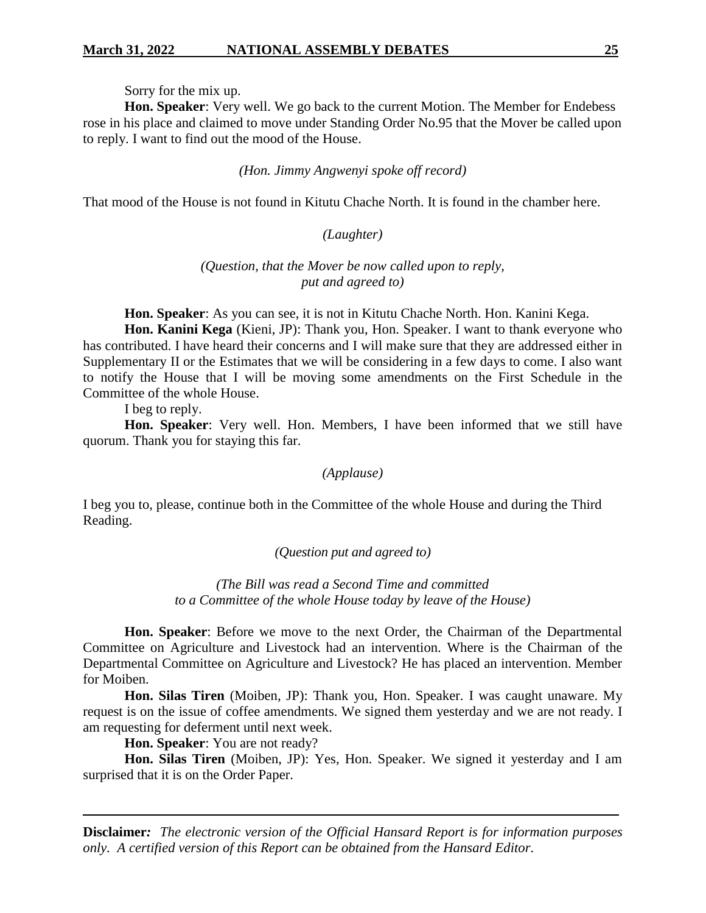Sorry for the mix up.

**Hon. Speaker**: Very well. We go back to the current Motion. The Member for Endebess rose in his place and claimed to move under Standing Order No.95 that the Mover be called upon to reply. I want to find out the mood of the House.

*(Hon. Jimmy Angwenyi spoke off record)*

That mood of the House is not found in Kitutu Chache North. It is found in the chamber here.

# *(Laughter)*

### *(Question, that the Mover be now called upon to reply, put and agreed to)*

**Hon. Speaker**: As you can see, it is not in Kitutu Chache North. Hon. Kanini Kega.

**Hon. Kanini Kega** (Kieni, JP): Thank you, Hon. Speaker. I want to thank everyone who has contributed. I have heard their concerns and I will make sure that they are addressed either in Supplementary II or the Estimates that we will be considering in a few days to come. I also want to notify the House that I will be moving some amendments on the First Schedule in the Committee of the whole House.

I beg to reply.

**Hon. Speaker**: Very well. Hon. Members, I have been informed that we still have quorum. Thank you for staying this far.

*(Applause)*

I beg you to, please, continue both in the Committee of the whole House and during the Third Reading.

*(Question put and agreed to)*

*(The Bill was read a Second Time and committed to a Committee of the whole House today by leave of the House)*

**Hon. Speaker**: Before we move to the next Order, the Chairman of the Departmental Committee on Agriculture and Livestock had an intervention. Where is the Chairman of the Departmental Committee on Agriculture and Livestock? He has placed an intervention. Member for Moiben.

**Hon. Silas Tiren** (Moiben, JP): Thank you, Hon. Speaker. I was caught unaware. My request is on the issue of coffee amendments. We signed them yesterday and we are not ready. I am requesting for deferment until next week.

**Hon. Speaker**: You are not ready?

**Hon. Silas Tiren** (Moiben, JP): Yes, Hon. Speaker. We signed it yesterday and I am surprised that it is on the Order Paper.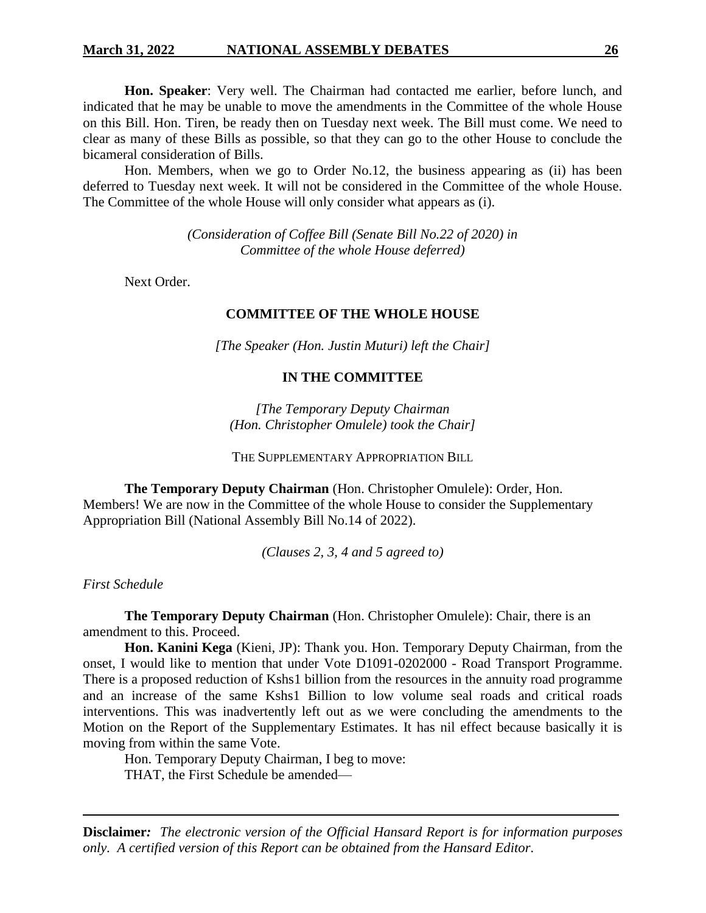**Hon. Speaker**: Very well. The Chairman had contacted me earlier, before lunch, and indicated that he may be unable to move the amendments in the Committee of the whole House on this Bill. Hon. Tiren, be ready then on Tuesday next week. The Bill must come. We need to clear as many of these Bills as possible, so that they can go to the other House to conclude the bicameral consideration of Bills.

Hon. Members, when we go to Order No.12, the business appearing as (ii) has been deferred to Tuesday next week. It will not be considered in the Committee of the whole House. The Committee of the whole House will only consider what appears as (i).

> *(Consideration of Coffee Bill (Senate Bill No.22 of 2020) in Committee of the whole House deferred)*

Next Order.

#### **COMMITTEE OF THE WHOLE HOUSE**

*[The Speaker (Hon. Justin Muturi) left the Chair]*

#### **IN THE COMMITTEE**

*[The Temporary Deputy Chairman (Hon. Christopher Omulele) took the Chair]*

THE SUPPLEMENTARY APPROPRIATION BILL

**The Temporary Deputy Chairman** (Hon. Christopher Omulele): Order, Hon. Members! We are now in the Committee of the whole House to consider the Supplementary Appropriation Bill (National Assembly Bill No.14 of 2022).

*(Clauses 2, 3, 4 and 5 agreed to)*

*First Schedule*

**The Temporary Deputy Chairman** (Hon. Christopher Omulele): Chair, there is an amendment to this. Proceed.

**Hon. Kanini Kega** (Kieni, JP): Thank you. Hon. Temporary Deputy Chairman, from the onset, I would like to mention that under Vote D1091-0202000 - Road Transport Programme. There is a proposed reduction of Kshs1 billion from the resources in the annuity road programme and an increase of the same Kshs1 Billion to low volume seal roads and critical roads interventions. This was inadvertently left out as we were concluding the amendments to the Motion on the Report of the Supplementary Estimates. It has nil effect because basically it is moving from within the same Vote.

Hon. Temporary Deputy Chairman, I beg to move:

THAT, the First Schedule be amended—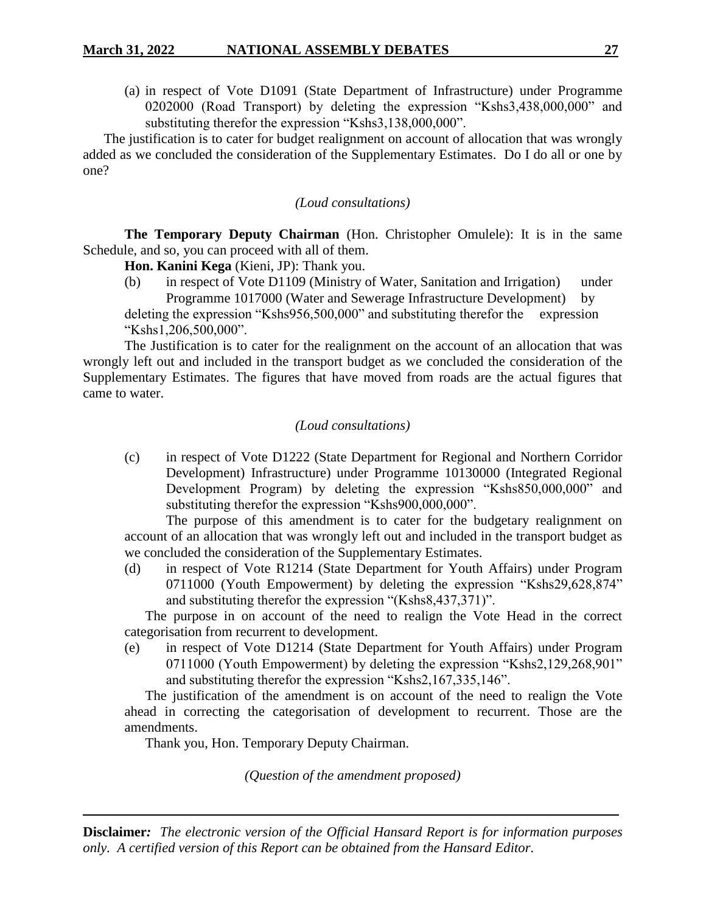(a) in respect of Vote D1091 (State Department of Infrastructure) under Programme 0202000 (Road Transport) by deleting the expression "Kshs3,438,000,000" and substituting therefor the expression "Kshs3,138,000,000".

The justification is to cater for budget realignment on account of allocation that was wrongly added as we concluded the consideration of the Supplementary Estimates. Do I do all or one by one?

*(Loud consultations)*

**The Temporary Deputy Chairman** (Hon. Christopher Omulele): It is in the same Schedule, and so, you can proceed with all of them.

**Hon. Kanini Kega** (Kieni, JP): Thank you.

(b) in respect of Vote D1109 (Ministry of Water, Sanitation and Irrigation) under Programme 1017000 (Water and Sewerage Infrastructure Development) by deleting the expression "Kshs956,500,000" and substituting therefor the expression "Kshs1,206,500,000".

The Justification is to cater for the realignment on the account of an allocation that was wrongly left out and included in the transport budget as we concluded the consideration of the Supplementary Estimates. The figures that have moved from roads are the actual figures that came to water.

### *(Loud consultations)*

(c) in respect of Vote D1222 (State Department for Regional and Northern Corridor Development) Infrastructure) under Programme 10130000 (Integrated Regional Development Program) by deleting the expression "Kshs850,000,000" and substituting therefor the expression "Kshs900,000,000".

The purpose of this amendment is to cater for the budgetary realignment on account of an allocation that was wrongly left out and included in the transport budget as we concluded the consideration of the Supplementary Estimates.

(d) in respect of Vote R1214 (State Department for Youth Affairs) under Program 0711000 (Youth Empowerment) by deleting the expression "Kshs29,628,874" and substituting therefor the expression "(Kshs8,437,371)".

The purpose in on account of the need to realign the Vote Head in the correct categorisation from recurrent to development.

(e) in respect of Vote D1214 (State Department for Youth Affairs) under Program 0711000 (Youth Empowerment) by deleting the expression "Kshs2,129,268,901" and substituting therefor the expression "Kshs2,167,335,146".

The justification of the amendment is on account of the need to realign the Vote ahead in correcting the categorisation of development to recurrent. Those are the amendments.

Thank you, Hon. Temporary Deputy Chairman.

*(Question of the amendment proposed)*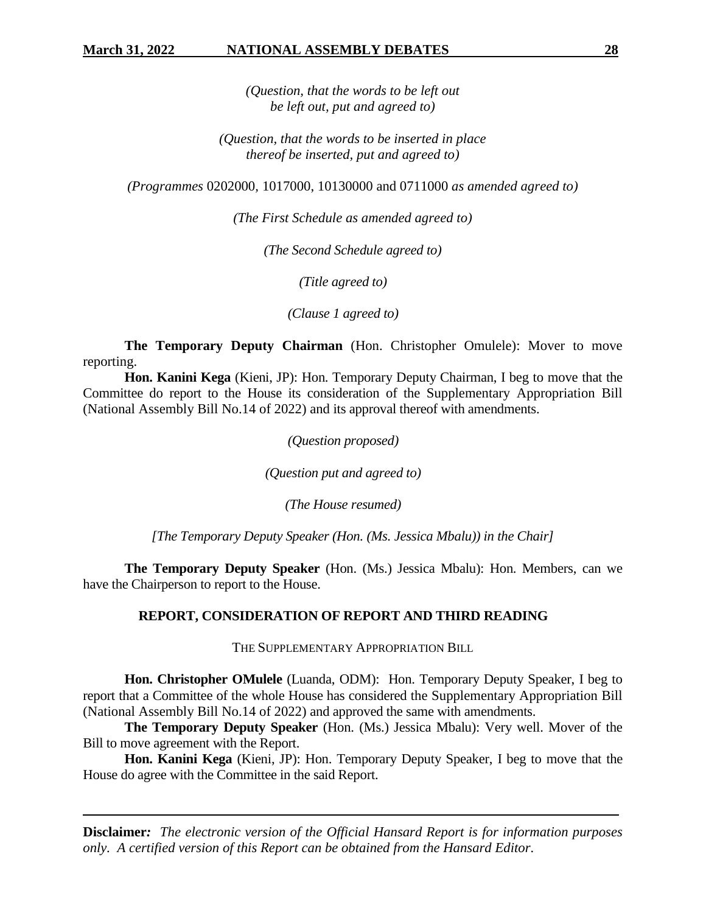*(Question, that the words to be left out be left out, put and agreed to)*

*(Question, that the words to be inserted in place thereof be inserted, put and agreed to)*

*(Programmes* 0202000*,* 1017000, 10130000 and 0711000 *as amended agreed to)*

*(The First Schedule as amended agreed to)*

*(The Second Schedule agreed to)*

*(Title agreed to)*

*(Clause 1 agreed to)*

**The Temporary Deputy Chairman** (Hon. Christopher Omulele): Mover to move reporting.

**Hon. Kanini Kega** (Kieni, JP): Hon. Temporary Deputy Chairman, I beg to move that the Committee do report to the House its consideration of the Supplementary Appropriation Bill (National Assembly Bill No.14 of 2022) and its approval thereof with amendments.

*(Question proposed)*

*(Question put and agreed to)*

*(The House resumed)*

*[The Temporary Deputy Speaker (Hon. (Ms. Jessica Mbalu)) in the Chair]*

**The Temporary Deputy Speaker** (Hon. (Ms.) Jessica Mbalu): Hon. Members, can we have the Chairperson to report to the House.

### **REPORT, CONSIDERATION OF REPORT AND THIRD READING**

THE SUPPLEMENTARY APPROPRIATION BILL

**Hon. Christopher OMulele** (Luanda, ODM): Hon. Temporary Deputy Speaker, I beg to report that a Committee of the whole House has considered the Supplementary Appropriation Bill (National Assembly Bill No.14 of 2022) and approved the same with amendments.

**The Temporary Deputy Speaker** (Hon. (Ms.) Jessica Mbalu): Very well. Mover of the Bill to move agreement with the Report.

**Hon. Kanini Kega** (Kieni, JP): Hon. Temporary Deputy Speaker, I beg to move that the House do agree with the Committee in the said Report.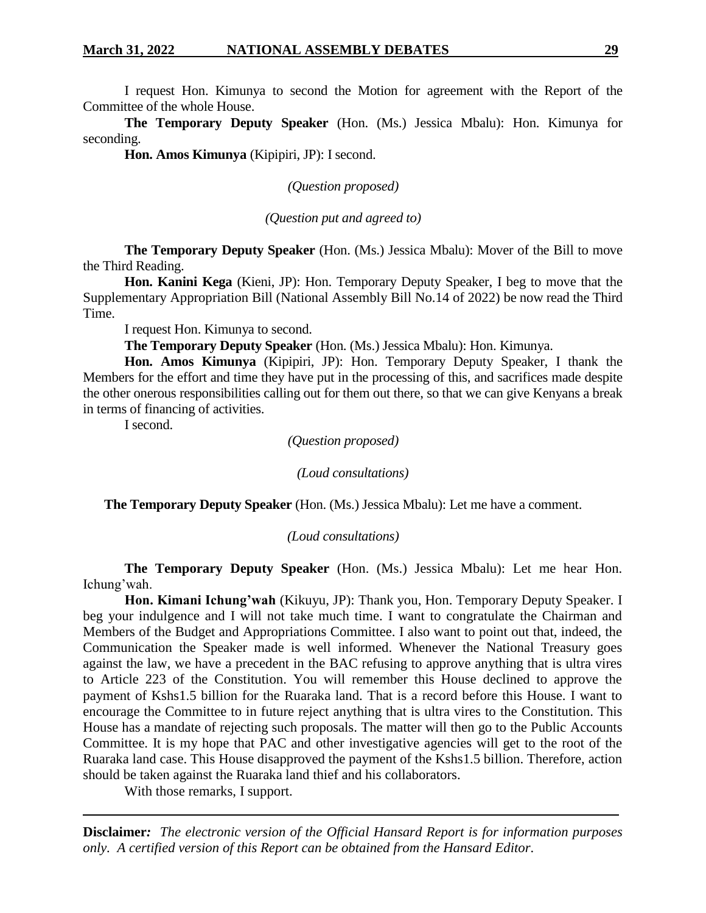I request Hon. Kimunya to second the Motion for agreement with the Report of the Committee of the whole House.

**The Temporary Deputy Speaker** (Hon. (Ms.) Jessica Mbalu): Hon. Kimunya for seconding.

**Hon. Amos Kimunya** (Kipipiri, JP): I second.

*(Question proposed)*

*(Question put and agreed to)*

**The Temporary Deputy Speaker** (Hon. (Ms.) Jessica Mbalu): Mover of the Bill to move the Third Reading.

**Hon. Kanini Kega** (Kieni, JP): Hon. Temporary Deputy Speaker, I beg to move that the Supplementary Appropriation Bill (National Assembly Bill No.14 of 2022) be now read the Third Time.

I request Hon. Kimunya to second.

**The Temporary Deputy Speaker** (Hon. (Ms.) Jessica Mbalu): Hon. Kimunya.

**Hon. Amos Kimunya** (Kipipiri, JP): Hon. Temporary Deputy Speaker, I thank the Members for the effort and time they have put in the processing of this, and sacrifices made despite the other onerous responsibilities calling out for them out there, so that we can give Kenyans a break in terms of financing of activities.

I second.

*(Question proposed)*

*(Loud consultations)*

**The Temporary Deputy Speaker** (Hon. (Ms.) Jessica Mbalu): Let me have a comment.

*(Loud consultations)*

**The Temporary Deputy Speaker** (Hon. (Ms.) Jessica Mbalu): Let me hear Hon. Ichung'wah.

**Hon. Kimani Ichung'wah** (Kikuyu, JP): Thank you, Hon. Temporary Deputy Speaker. I beg your indulgence and I will not take much time. I want to congratulate the Chairman and Members of the Budget and Appropriations Committee. I also want to point out that, indeed, the Communication the Speaker made is well informed. Whenever the National Treasury goes against the law, we have a precedent in the BAC refusing to approve anything that is ultra vires to Article 223 of the Constitution. You will remember this House declined to approve the payment of Kshs1.5 billion for the Ruaraka land. That is a record before this House. I want to encourage the Committee to in future reject anything that is ultra vires to the Constitution. This House has a mandate of rejecting such proposals. The matter will then go to the Public Accounts Committee. It is my hope that PAC and other investigative agencies will get to the root of the Ruaraka land case. This House disapproved the payment of the Kshs1.5 billion. Therefore, action should be taken against the Ruaraka land thief and his collaborators.

With those remarks, I support.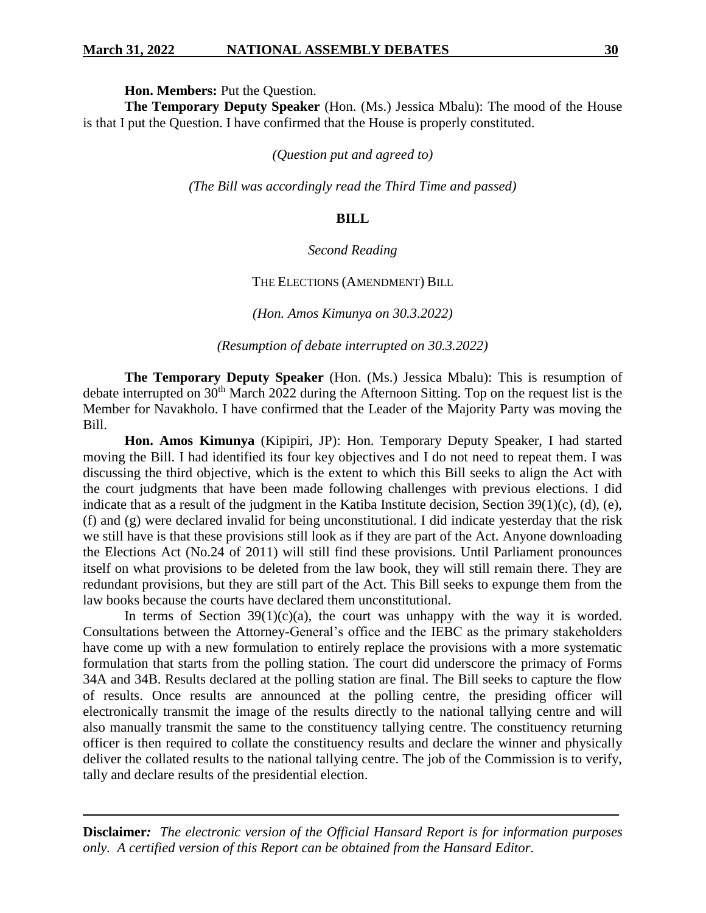**Hon. Members:** Put the Question.

**The Temporary Deputy Speaker** (Hon. (Ms.) Jessica Mbalu): The mood of the House is that I put the Question. I have confirmed that the House is properly constituted.

*(Question put and agreed to)*

*(The Bill was accordingly read the Third Time and passed)*

### **BILL**

#### *Second Reading*

#### THE ELECTIONS (AMENDMENT) BILL

*(Hon. Amos Kimunya on 30.3.2022)*

*(Resumption of debate interrupted on 30.3.2022)*

**The Temporary Deputy Speaker** (Hon. (Ms.) Jessica Mbalu): This is resumption of debate interrupted on 30<sup>th</sup> March 2022 during the Afternoon Sitting. Top on the request list is the Member for Navakholo. I have confirmed that the Leader of the Majority Party was moving the Bill.

**Hon. Amos Kimunya** (Kipipiri, JP): Hon. Temporary Deputy Speaker, I had started moving the Bill. I had identified its four key objectives and I do not need to repeat them. I was discussing the third objective, which is the extent to which this Bill seeks to align the Act with the court judgments that have been made following challenges with previous elections. I did indicate that as a result of the judgment in the Katiba Institute decision, Section 39(1)(c), (d), (e), (f) and (g) were declared invalid for being unconstitutional. I did indicate yesterday that the risk we still have is that these provisions still look as if they are part of the Act. Anyone downloading the Elections Act (No.24 of 2011) will still find these provisions. Until Parliament pronounces itself on what provisions to be deleted from the law book, they will still remain there. They are redundant provisions, but they are still part of the Act. This Bill seeks to expunge them from the law books because the courts have declared them unconstitutional.

In terms of Section  $39(1)(c)(a)$ , the court was unhappy with the way it is worded. Consultations between the Attorney-General's office and the IEBC as the primary stakeholders have come up with a new formulation to entirely replace the provisions with a more systematic formulation that starts from the polling station. The court did underscore the primacy of Forms 34A and 34B. Results declared at the polling station are final. The Bill seeks to capture the flow of results. Once results are announced at the polling centre, the presiding officer will electronically transmit the image of the results directly to the national tallying centre and will also manually transmit the same to the constituency tallying centre. The constituency returning officer is then required to collate the constituency results and declare the winner and physically deliver the collated results to the national tallying centre. The job of the Commission is to verify, tally and declare results of the presidential election.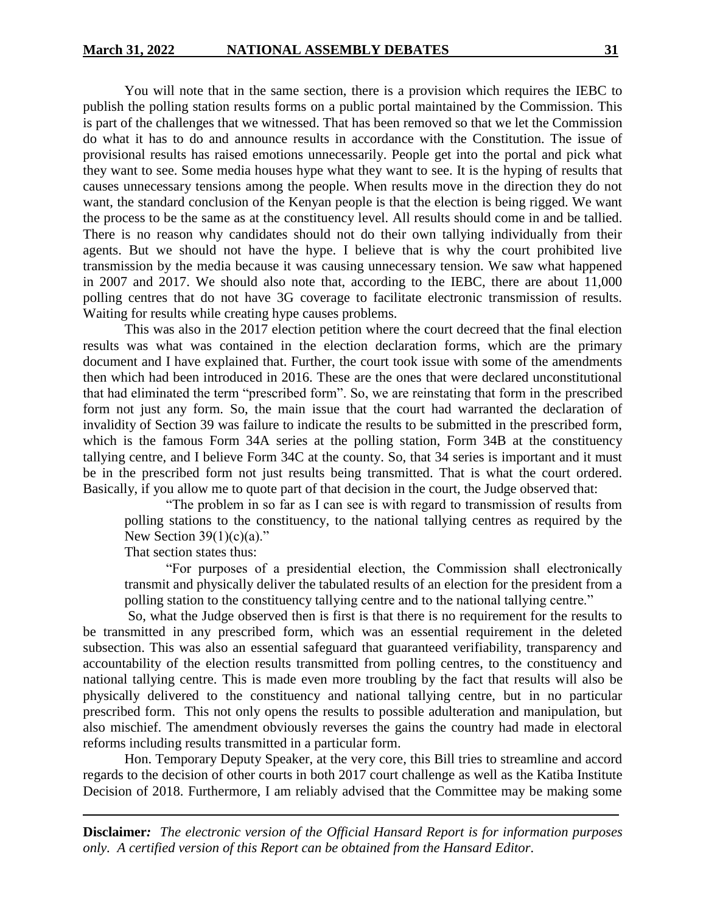You will note that in the same section, there is a provision which requires the IEBC to publish the polling station results forms on a public portal maintained by the Commission. This is part of the challenges that we witnessed. That has been removed so that we let the Commission do what it has to do and announce results in accordance with the Constitution. The issue of provisional results has raised emotions unnecessarily. People get into the portal and pick what they want to see. Some media houses hype what they want to see. It is the hyping of results that causes unnecessary tensions among the people. When results move in the direction they do not want, the standard conclusion of the Kenyan people is that the election is being rigged. We want the process to be the same as at the constituency level. All results should come in and be tallied. There is no reason why candidates should not do their own tallying individually from their agents. But we should not have the hype. I believe that is why the court prohibited live transmission by the media because it was causing unnecessary tension. We saw what happened in 2007 and 2017. We should also note that, according to the IEBC, there are about 11,000 polling centres that do not have 3G coverage to facilitate electronic transmission of results. Waiting for results while creating hype causes problems.

This was also in the 2017 election petition where the court decreed that the final election results was what was contained in the election declaration forms, which are the primary document and I have explained that. Further, the court took issue with some of the amendments then which had been introduced in 2016. These are the ones that were declared unconstitutional that had eliminated the term "prescribed form". So, we are reinstating that form in the prescribed form not just any form. So, the main issue that the court had warranted the declaration of invalidity of Section 39 was failure to indicate the results to be submitted in the prescribed form, which is the famous Form 34A series at the polling station, Form 34B at the constituency tallying centre, and I believe Form 34C at the county. So, that 34 series is important and it must be in the prescribed form not just results being transmitted. That is what the court ordered. Basically, if you allow me to quote part of that decision in the court, the Judge observed that:

"The problem in so far as I can see is with regard to transmission of results from polling stations to the constituency, to the national tallying centres as required by the New Section  $39(1)(c)(a)$ ."

That section states thus:

"For purposes of a presidential election, the Commission shall electronically transmit and physically deliver the tabulated results of an election for the president from a polling station to the constituency tallying centre and to the national tallying centre."

So, what the Judge observed then is first is that there is no requirement for the results to be transmitted in any prescribed form, which was an essential requirement in the deleted subsection. This was also an essential safeguard that guaranteed verifiability, transparency and accountability of the election results transmitted from polling centres, to the constituency and national tallying centre. This is made even more troubling by the fact that results will also be physically delivered to the constituency and national tallying centre, but in no particular prescribed form. This not only opens the results to possible adulteration and manipulation, but also mischief. The amendment obviously reverses the gains the country had made in electoral reforms including results transmitted in a particular form.

Hon. Temporary Deputy Speaker, at the very core, this Bill tries to streamline and accord regards to the decision of other courts in both 2017 court challenge as well as the Katiba Institute Decision of 2018. Furthermore, I am reliably advised that the Committee may be making some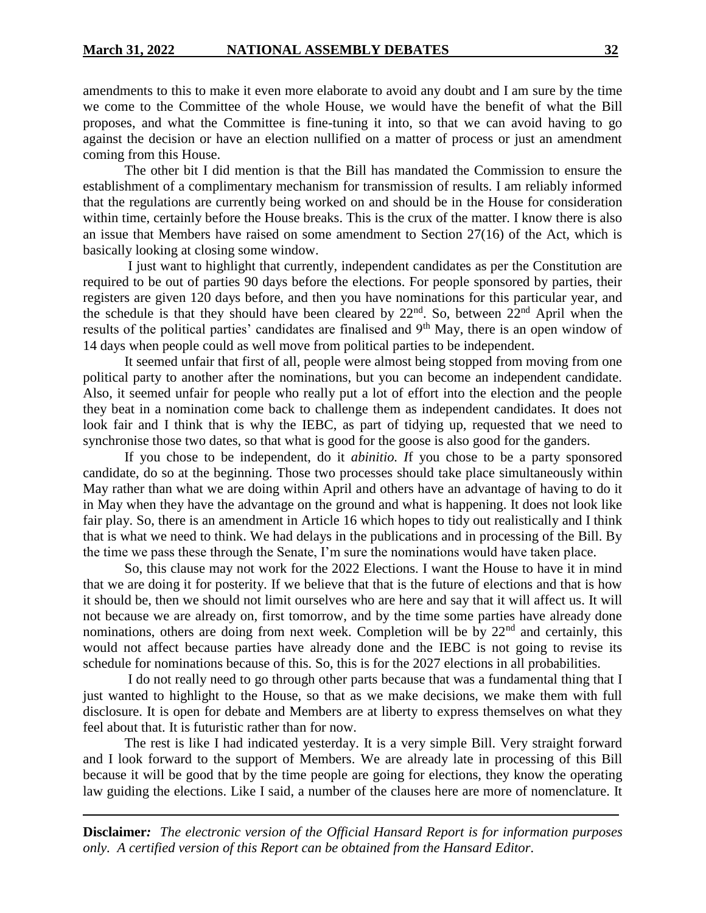amendments to this to make it even more elaborate to avoid any doubt and I am sure by the time we come to the Committee of the whole House, we would have the benefit of what the Bill proposes, and what the Committee is fine-tuning it into, so that we can avoid having to go against the decision or have an election nullified on a matter of process or just an amendment coming from this House.

The other bit I did mention is that the Bill has mandated the Commission to ensure the establishment of a complimentary mechanism for transmission of results. I am reliably informed that the regulations are currently being worked on and should be in the House for consideration within time, certainly before the House breaks. This is the crux of the matter. I know there is also an issue that Members have raised on some amendment to Section 27(16) of the Act, which is basically looking at closing some window.

I just want to highlight that currently, independent candidates as per the Constitution are required to be out of parties 90 days before the elections. For people sponsored by parties, their registers are given 120 days before, and then you have nominations for this particular year, and the schedule is that they should have been cleared by  $22<sup>nd</sup>$ . So, between  $22<sup>nd</sup>$  April when the results of the political parties' candidates are finalised and 9<sup>th</sup> May, there is an open window of 14 days when people could as well move from political parties to be independent.

It seemed unfair that first of all, people were almost being stopped from moving from one political party to another after the nominations, but you can become an independent candidate. Also, it seemed unfair for people who really put a lot of effort into the election and the people they beat in a nomination come back to challenge them as independent candidates. It does not look fair and I think that is why the IEBC, as part of tidying up, requested that we need to synchronise those two dates, so that what is good for the goose is also good for the ganders.

If you chose to be independent, do it *abinitio. I*f you chose to be a party sponsored candidate, do so at the beginning. Those two processes should take place simultaneously within May rather than what we are doing within April and others have an advantage of having to do it in May when they have the advantage on the ground and what is happening. It does not look like fair play. So, there is an amendment in Article 16 which hopes to tidy out realistically and I think that is what we need to think. We had delays in the publications and in processing of the Bill. By the time we pass these through the Senate, I'm sure the nominations would have taken place.

So, this clause may not work for the 2022 Elections. I want the House to have it in mind that we are doing it for posterity. If we believe that that is the future of elections and that is how it should be, then we should not limit ourselves who are here and say that it will affect us. It will not because we are already on, first tomorrow, and by the time some parties have already done nominations, others are doing from next week. Completion will be by 22<sup>nd</sup> and certainly, this would not affect because parties have already done and the IEBC is not going to revise its schedule for nominations because of this. So, this is for the 2027 elections in all probabilities.

I do not really need to go through other parts because that was a fundamental thing that I just wanted to highlight to the House, so that as we make decisions, we make them with full disclosure. It is open for debate and Members are at liberty to express themselves on what they feel about that. It is futuristic rather than for now.

The rest is like I had indicated yesterday. It is a very simple Bill. Very straight forward and I look forward to the support of Members. We are already late in processing of this Bill because it will be good that by the time people are going for elections, they know the operating law guiding the elections. Like I said, a number of the clauses here are more of nomenclature. It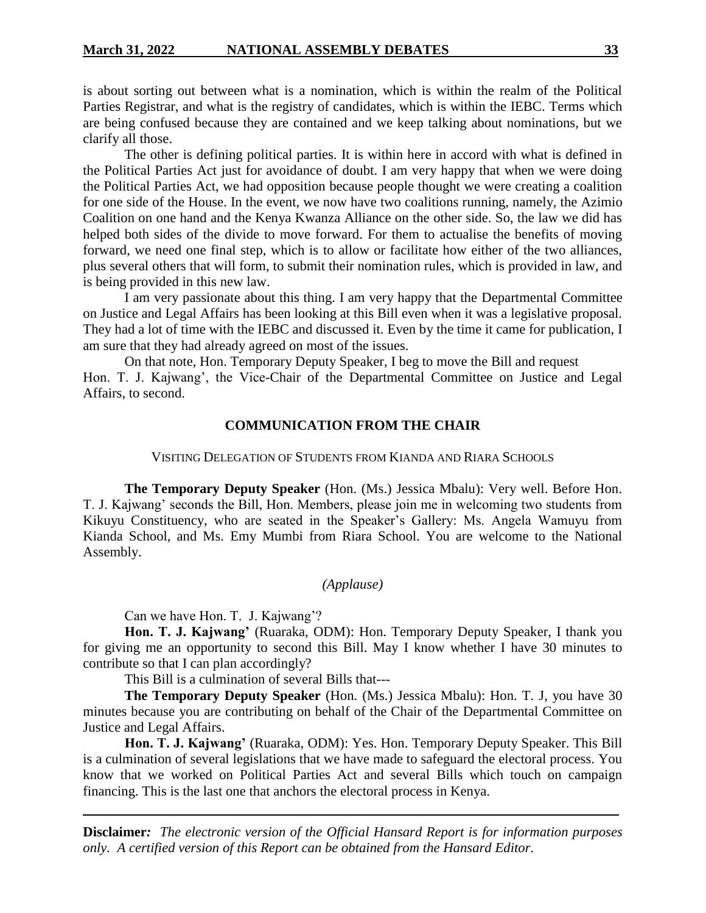is about sorting out between what is a nomination, which is within the realm of the Political Parties Registrar, and what is the registry of candidates, which is within the IEBC. Terms which are being confused because they are contained and we keep talking about nominations, but we clarify all those.

The other is defining political parties. It is within here in accord with what is defined in the Political Parties Act just for avoidance of doubt. I am very happy that when we were doing the Political Parties Act, we had opposition because people thought we were creating a coalition for one side of the House. In the event, we now have two coalitions running, namely, the Azimio Coalition on one hand and the Kenya Kwanza Alliance on the other side. So, the law we did has helped both sides of the divide to move forward. For them to actualise the benefits of moving forward, we need one final step, which is to allow or facilitate how either of the two alliances, plus several others that will form, to submit their nomination rules, which is provided in law, and is being provided in this new law.

I am very passionate about this thing. I am very happy that the Departmental Committee on Justice and Legal Affairs has been looking at this Bill even when it was a legislative proposal. They had a lot of time with the IEBC and discussed it. Even by the time it came for publication, I am sure that they had already agreed on most of the issues.

On that note, Hon. Temporary Deputy Speaker, I beg to move the Bill and request Hon. T. J. Kajwang', the Vice-Chair of the Departmental Committee on Justice and Legal Affairs, to second.

### **COMMUNICATION FROM THE CHAIR**

#### VISITING DELEGATION OF STUDENTS FROM KIANDA AND RIARA SCHOOLS

**The Temporary Deputy Speaker** (Hon. (Ms.) Jessica Mbalu): Very well. Before Hon. T. J. Kajwang' seconds the Bill, Hon. Members, please join me in welcoming two students from Kikuyu Constituency, who are seated in the Speaker's Gallery: Ms. Angela Wamuyu from Kianda School, and Ms. Emy Mumbi from Riara School. You are welcome to the National Assembly.

### *(Applause)*

Can we have Hon. T. J. Kajwang'?

**Hon. T. J. Kajwang'** (Ruaraka, ODM): Hon. Temporary Deputy Speaker, I thank you for giving me an opportunity to second this Bill. May I know whether I have 30 minutes to contribute so that I can plan accordingly?

This Bill is a culmination of several Bills that---

**The Temporary Deputy Speaker** (Hon. (Ms.) Jessica Mbalu): Hon. T. J, you have 30 minutes because you are contributing on behalf of the Chair of the Departmental Committee on Justice and Legal Affairs.

**Hon. T. J. Kajwang'** (Ruaraka, ODM): Yes. Hon. Temporary Deputy Speaker. This Bill is a culmination of several legislations that we have made to safeguard the electoral process. You know that we worked on Political Parties Act and several Bills which touch on campaign financing. This is the last one that anchors the electoral process in Kenya.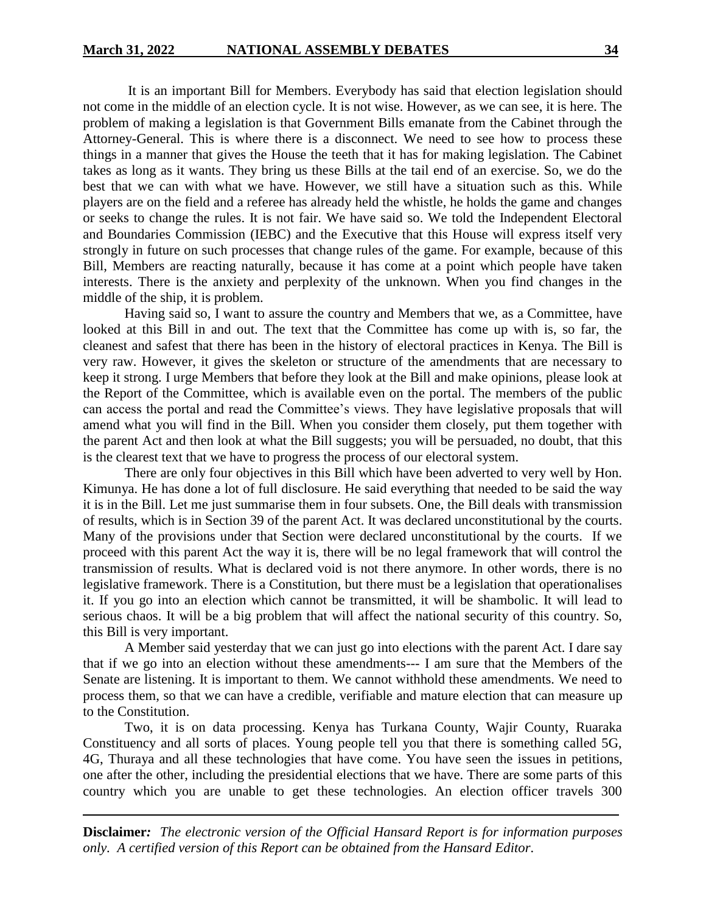It is an important Bill for Members. Everybody has said that election legislation should not come in the middle of an election cycle. It is not wise. However, as we can see, it is here. The problem of making a legislation is that Government Bills emanate from the Cabinet through the Attorney-General. This is where there is a disconnect. We need to see how to process these things in a manner that gives the House the teeth that it has for making legislation. The Cabinet takes as long as it wants. They bring us these Bills at the tail end of an exercise. So, we do the best that we can with what we have. However, we still have a situation such as this. While players are on the field and a referee has already held the whistle, he holds the game and changes or seeks to change the rules. It is not fair. We have said so. We told the Independent Electoral and Boundaries Commission (IEBC) and the Executive that this House will express itself very strongly in future on such processes that change rules of the game. For example, because of this Bill, Members are reacting naturally, because it has come at a point which people have taken interests. There is the anxiety and perplexity of the unknown. When you find changes in the middle of the ship, it is problem.

Having said so, I want to assure the country and Members that we, as a Committee, have looked at this Bill in and out. The text that the Committee has come up with is, so far, the cleanest and safest that there has been in the history of electoral practices in Kenya. The Bill is very raw. However, it gives the skeleton or structure of the amendments that are necessary to keep it strong. I urge Members that before they look at the Bill and make opinions, please look at the Report of the Committee, which is available even on the portal. The members of the public can access the portal and read the Committee's views. They have legislative proposals that will amend what you will find in the Bill. When you consider them closely, put them together with the parent Act and then look at what the Bill suggests; you will be persuaded, no doubt, that this is the clearest text that we have to progress the process of our electoral system.

There are only four objectives in this Bill which have been adverted to very well by Hon. Kimunya. He has done a lot of full disclosure. He said everything that needed to be said the way it is in the Bill. Let me just summarise them in four subsets. One, the Bill deals with transmission of results, which is in Section 39 of the parent Act. It was declared unconstitutional by the courts. Many of the provisions under that Section were declared unconstitutional by the courts. If we proceed with this parent Act the way it is, there will be no legal framework that will control the transmission of results. What is declared void is not there anymore. In other words, there is no legislative framework. There is a Constitution, but there must be a legislation that operationalises it. If you go into an election which cannot be transmitted, it will be shambolic. It will lead to serious chaos. It will be a big problem that will affect the national security of this country. So, this Bill is very important.

A Member said yesterday that we can just go into elections with the parent Act. I dare say that if we go into an election without these amendments--- I am sure that the Members of the Senate are listening. It is important to them. We cannot withhold these amendments. We need to process them, so that we can have a credible, verifiable and mature election that can measure up to the Constitution.

Two, it is on data processing. Kenya has Turkana County, Wajir County, Ruaraka Constituency and all sorts of places. Young people tell you that there is something called 5G, 4G, Thuraya and all these technologies that have come. You have seen the issues in petitions, one after the other, including the presidential elections that we have. There are some parts of this country which you are unable to get these technologies. An election officer travels 300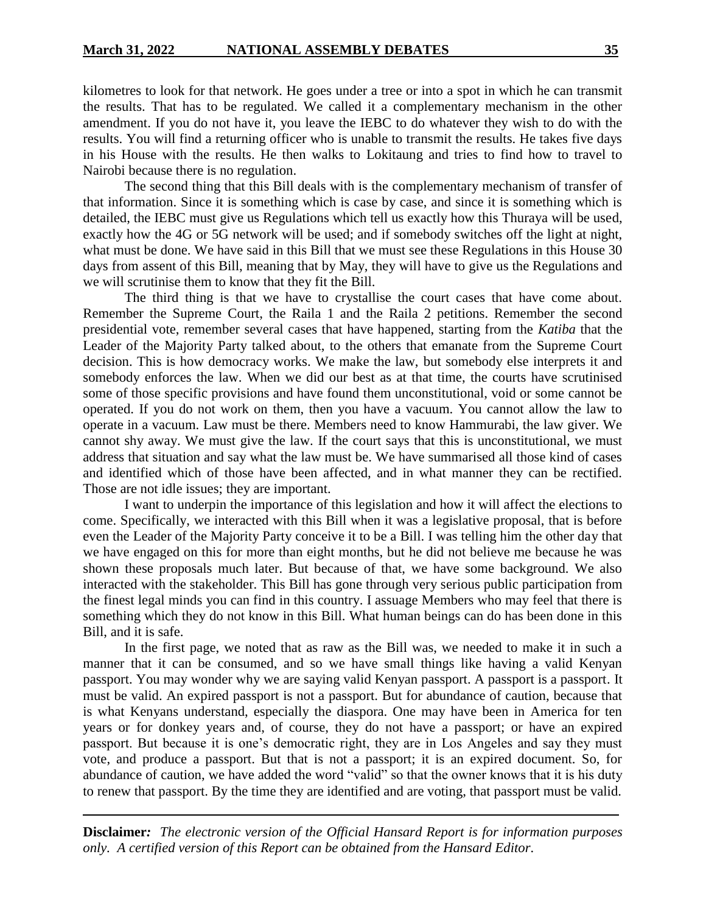kilometres to look for that network. He goes under a tree or into a spot in which he can transmit the results. That has to be regulated. We called it a complementary mechanism in the other amendment. If you do not have it, you leave the IEBC to do whatever they wish to do with the results. You will find a returning officer who is unable to transmit the results. He takes five days in his House with the results. He then walks to Lokitaung and tries to find how to travel to Nairobi because there is no regulation.

The second thing that this Bill deals with is the complementary mechanism of transfer of that information. Since it is something which is case by case, and since it is something which is detailed, the IEBC must give us Regulations which tell us exactly how this Thuraya will be used, exactly how the 4G or 5G network will be used; and if somebody switches off the light at night, what must be done. We have said in this Bill that we must see these Regulations in this House 30 days from assent of this Bill, meaning that by May, they will have to give us the Regulations and we will scrutinise them to know that they fit the Bill.

The third thing is that we have to crystallise the court cases that have come about. Remember the Supreme Court, the Raila 1 and the Raila 2 petitions. Remember the second presidential vote, remember several cases that have happened, starting from the *Katiba* that the Leader of the Majority Party talked about, to the others that emanate from the Supreme Court decision. This is how democracy works. We make the law, but somebody else interprets it and somebody enforces the law. When we did our best as at that time, the courts have scrutinised some of those specific provisions and have found them unconstitutional, void or some cannot be operated. If you do not work on them, then you have a vacuum. You cannot allow the law to operate in a vacuum. Law must be there. Members need to know Hammurabi, the law giver. We cannot shy away. We must give the law. If the court says that this is unconstitutional, we must address that situation and say what the law must be. We have summarised all those kind of cases and identified which of those have been affected, and in what manner they can be rectified. Those are not idle issues; they are important.

I want to underpin the importance of this legislation and how it will affect the elections to come. Specifically, we interacted with this Bill when it was a legislative proposal, that is before even the Leader of the Majority Party conceive it to be a Bill. I was telling him the other day that we have engaged on this for more than eight months, but he did not believe me because he was shown these proposals much later. But because of that, we have some background. We also interacted with the stakeholder. This Bill has gone through very serious public participation from the finest legal minds you can find in this country. I assuage Members who may feel that there is something which they do not know in this Bill. What human beings can do has been done in this Bill, and it is safe.

In the first page, we noted that as raw as the Bill was, we needed to make it in such a manner that it can be consumed, and so we have small things like having a valid Kenyan passport. You may wonder why we are saying valid Kenyan passport. A passport is a passport. It must be valid. An expired passport is not a passport. But for abundance of caution, because that is what Kenyans understand, especially the diaspora. One may have been in America for ten years or for donkey years and, of course, they do not have a passport; or have an expired passport. But because it is one's democratic right, they are in Los Angeles and say they must vote, and produce a passport. But that is not a passport; it is an expired document. So, for abundance of caution, we have added the word "valid" so that the owner knows that it is his duty to renew that passport. By the time they are identified and are voting, that passport must be valid.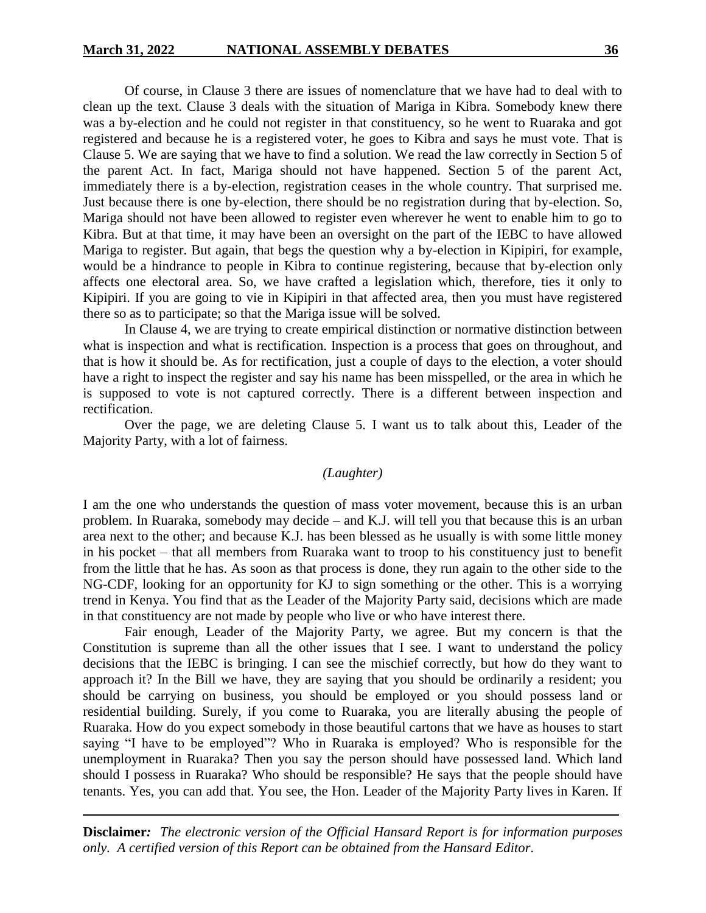Of course, in Clause 3 there are issues of nomenclature that we have had to deal with to clean up the text. Clause 3 deals with the situation of Mariga in Kibra. Somebody knew there was a by-election and he could not register in that constituency, so he went to Ruaraka and got registered and because he is a registered voter, he goes to Kibra and says he must vote. That is Clause 5. We are saying that we have to find a solution. We read the law correctly in Section 5 of the parent Act. In fact, Mariga should not have happened. Section 5 of the parent Act, immediately there is a by-election, registration ceases in the whole country. That surprised me. Just because there is one by-election, there should be no registration during that by-election. So, Mariga should not have been allowed to register even wherever he went to enable him to go to Kibra. But at that time, it may have been an oversight on the part of the IEBC to have allowed Mariga to register. But again, that begs the question why a by-election in Kipipiri, for example, would be a hindrance to people in Kibra to continue registering, because that by-election only affects one electoral area. So, we have crafted a legislation which, therefore, ties it only to Kipipiri. If you are going to vie in Kipipiri in that affected area, then you must have registered there so as to participate; so that the Mariga issue will be solved.

In Clause 4, we are trying to create empirical distinction or normative distinction between what is inspection and what is rectification. Inspection is a process that goes on throughout, and that is how it should be. As for rectification, just a couple of days to the election, a voter should have a right to inspect the register and say his name has been misspelled, or the area in which he is supposed to vote is not captured correctly. There is a different between inspection and rectification.

Over the page, we are deleting Clause 5. I want us to talk about this, Leader of the Majority Party, with a lot of fairness.

#### *(Laughter)*

I am the one who understands the question of mass voter movement, because this is an urban problem. In Ruaraka, somebody may decide – and K.J. will tell you that because this is an urban area next to the other; and because K.J. has been blessed as he usually is with some little money in his pocket – that all members from Ruaraka want to troop to his constituency just to benefit from the little that he has. As soon as that process is done, they run again to the other side to the NG-CDF, looking for an opportunity for KJ to sign something or the other. This is a worrying trend in Kenya. You find that as the Leader of the Majority Party said, decisions which are made in that constituency are not made by people who live or who have interest there.

Fair enough, Leader of the Majority Party, we agree. But my concern is that the Constitution is supreme than all the other issues that I see. I want to understand the policy decisions that the IEBC is bringing. I can see the mischief correctly, but how do they want to approach it? In the Bill we have, they are saying that you should be ordinarily a resident; you should be carrying on business, you should be employed or you should possess land or residential building. Surely, if you come to Ruaraka, you are literally abusing the people of Ruaraka. How do you expect somebody in those beautiful cartons that we have as houses to start saying "I have to be employed"? Who in Ruaraka is employed? Who is responsible for the unemployment in Ruaraka? Then you say the person should have possessed land. Which land should I possess in Ruaraka? Who should be responsible? He says that the people should have tenants. Yes, you can add that. You see, the Hon. Leader of the Majority Party lives in Karen. If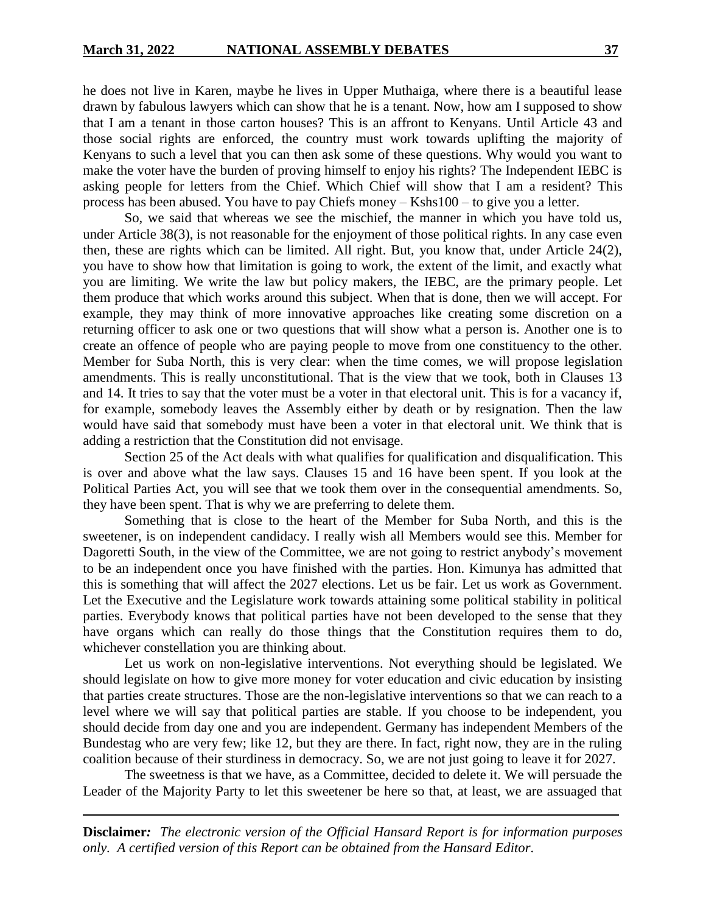he does not live in Karen, maybe he lives in Upper Muthaiga, where there is a beautiful lease drawn by fabulous lawyers which can show that he is a tenant. Now, how am I supposed to show that I am a tenant in those carton houses? This is an affront to Kenyans. Until Article 43 and those social rights are enforced, the country must work towards uplifting the majority of Kenyans to such a level that you can then ask some of these questions. Why would you want to make the voter have the burden of proving himself to enjoy his rights? The Independent IEBC is asking people for letters from the Chief. Which Chief will show that I am a resident? This process has been abused. You have to pay Chiefs money – Kshs100 – to give you a letter.

So, we said that whereas we see the mischief, the manner in which you have told us, under Article 38(3), is not reasonable for the enjoyment of those political rights. In any case even then, these are rights which can be limited. All right. But, you know that, under Article 24(2), you have to show how that limitation is going to work, the extent of the limit, and exactly what you are limiting. We write the law but policy makers, the IEBC, are the primary people. Let them produce that which works around this subject. When that is done, then we will accept. For example, they may think of more innovative approaches like creating some discretion on a returning officer to ask one or two questions that will show what a person is. Another one is to create an offence of people who are paying people to move from one constituency to the other. Member for Suba North, this is very clear: when the time comes, we will propose legislation amendments. This is really unconstitutional. That is the view that we took, both in Clauses 13 and 14. It tries to say that the voter must be a voter in that electoral unit. This is for a vacancy if, for example, somebody leaves the Assembly either by death or by resignation. Then the law would have said that somebody must have been a voter in that electoral unit. We think that is adding a restriction that the Constitution did not envisage.

Section 25 of the Act deals with what qualifies for qualification and disqualification. This is over and above what the law says. Clauses 15 and 16 have been spent. If you look at the Political Parties Act, you will see that we took them over in the consequential amendments. So, they have been spent. That is why we are preferring to delete them.

Something that is close to the heart of the Member for Suba North, and this is the sweetener, is on independent candidacy. I really wish all Members would see this. Member for Dagoretti South, in the view of the Committee, we are not going to restrict anybody's movement to be an independent once you have finished with the parties. Hon. Kimunya has admitted that this is something that will affect the 2027 elections. Let us be fair. Let us work as Government. Let the Executive and the Legislature work towards attaining some political stability in political parties. Everybody knows that political parties have not been developed to the sense that they have organs which can really do those things that the Constitution requires them to do, whichever constellation you are thinking about.

Let us work on non-legislative interventions. Not everything should be legislated. We should legislate on how to give more money for voter education and civic education by insisting that parties create structures. Those are the non-legislative interventions so that we can reach to a level where we will say that political parties are stable. If you choose to be independent, you should decide from day one and you are independent. Germany has independent Members of the Bundestag who are very few; like 12, but they are there. In fact, right now, they are in the ruling coalition because of their sturdiness in democracy. So, we are not just going to leave it for 2027.

The sweetness is that we have, as a Committee, decided to delete it. We will persuade the Leader of the Majority Party to let this sweetener be here so that, at least, we are assuaged that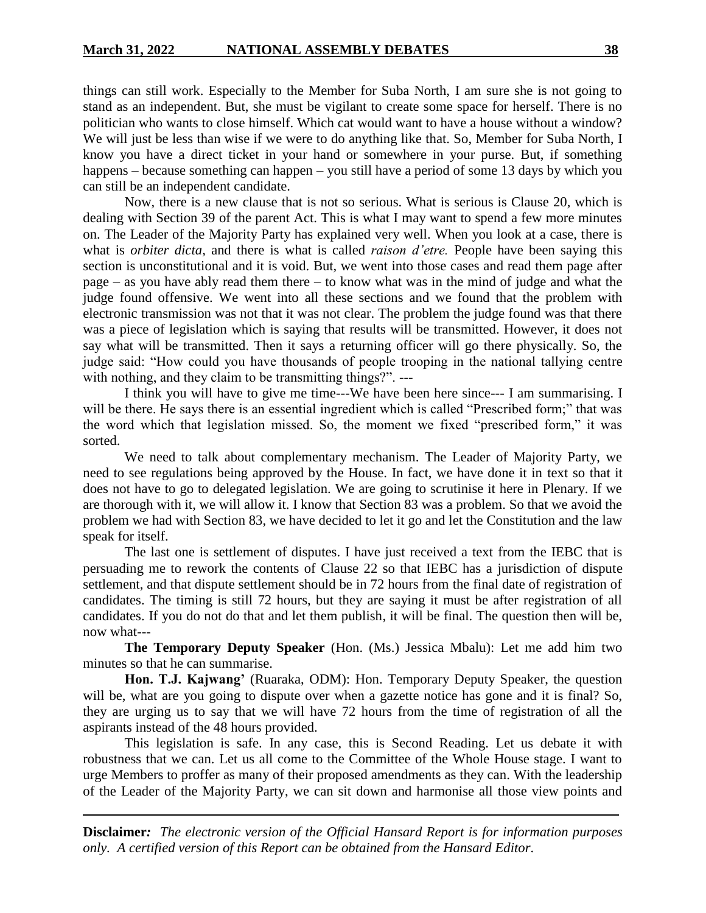things can still work. Especially to the Member for Suba North, I am sure she is not going to stand as an independent. But, she must be vigilant to create some space for herself. There is no politician who wants to close himself. Which cat would want to have a house without a window? We will just be less than wise if we were to do anything like that. So, Member for Suba North, I know you have a direct ticket in your hand or somewhere in your purse. But, if something happens – because something can happen – you still have a period of some 13 days by which you can still be an independent candidate.

Now, there is a new clause that is not so serious. What is serious is Clause 20, which is dealing with Section 39 of the parent Act. This is what I may want to spend a few more minutes on. The Leader of the Majority Party has explained very well. When you look at a case, there is what is *orbiter dicta,* and there is what is called *raison d'etre.* People have been saying this section is unconstitutional and it is void. But, we went into those cases and read them page after page – as you have ably read them there – to know what was in the mind of judge and what the judge found offensive. We went into all these sections and we found that the problem with electronic transmission was not that it was not clear. The problem the judge found was that there was a piece of legislation which is saying that results will be transmitted. However, it does not say what will be transmitted. Then it says a returning officer will go there physically. So, the judge said: "How could you have thousands of people trooping in the national tallying centre with nothing, and they claim to be transmitting things?". ---

I think you will have to give me time---We have been here since--- I am summarising. I will be there. He says there is an essential ingredient which is called "Prescribed form;" that was the word which that legislation missed. So, the moment we fixed "prescribed form," it was sorted.

We need to talk about complementary mechanism. The Leader of Majority Party, we need to see regulations being approved by the House. In fact, we have done it in text so that it does not have to go to delegated legislation. We are going to scrutinise it here in Plenary. If we are thorough with it, we will allow it. I know that Section 83 was a problem. So that we avoid the problem we had with Section 83, we have decided to let it go and let the Constitution and the law speak for itself.

The last one is settlement of disputes. I have just received a text from the IEBC that is persuading me to rework the contents of Clause 22 so that IEBC has a jurisdiction of dispute settlement, and that dispute settlement should be in 72 hours from the final date of registration of candidates. The timing is still 72 hours, but they are saying it must be after registration of all candidates. If you do not do that and let them publish, it will be final. The question then will be, now what---

**The Temporary Deputy Speaker** (Hon. (Ms.) Jessica Mbalu): Let me add him two minutes so that he can summarise.

Hon. T.J. Kajwang' (Ruaraka, ODM): Hon. Temporary Deputy Speaker, the question will be, what are you going to dispute over when a gazette notice has gone and it is final? So, they are urging us to say that we will have 72 hours from the time of registration of all the aspirants instead of the 48 hours provided.

This legislation is safe. In any case, this is Second Reading. Let us debate it with robustness that we can. Let us all come to the Committee of the Whole House stage. I want to urge Members to proffer as many of their proposed amendments as they can. With the leadership of the Leader of the Majority Party, we can sit down and harmonise all those view points and